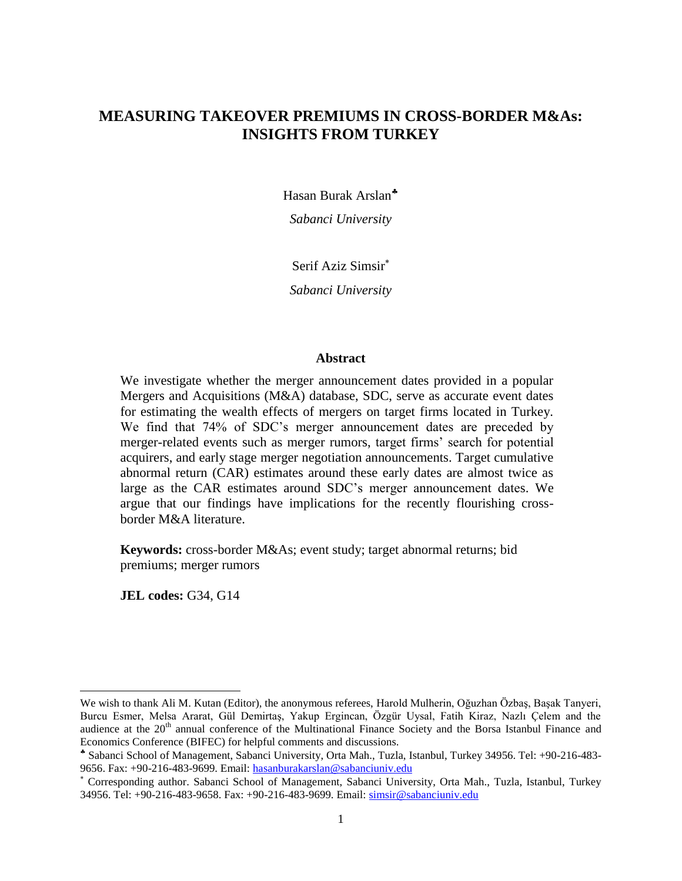# **MEASURING TAKEOVER PREMIUMS IN CROSS-BORDER M&As: INSIGHTS FROM TURKEY**

Hasan Burak Arslan

*Sabanci University*

Serif Aziz Simsir

*Sabanci University*

## **Abstract**

We investigate whether the merger announcement dates provided in a popular Mergers and Acquisitions (M&A) database, SDC, serve as accurate event dates for estimating the wealth effects of mergers on target firms located in Turkey. We find that 74% of SDC's merger announcement dates are preceded by merger-related events such as merger rumors, target firms' search for potential acquirers, and early stage merger negotiation announcements. Target cumulative abnormal return (CAR) estimates around these early dates are almost twice as large as the CAR estimates around SDC's merger announcement dates. We argue that our findings have implications for the recently flourishing crossborder M&A literature.

**Keywords:** cross-border M&As; event study; target abnormal returns; bid premiums; merger rumors

**JEL codes:** G34, G14

 $\overline{a}$ 

We wish to thank Ali M. Kutan (Editor), the anonymous referees, Harold Mulherin, Oğuzhan Özbaş, Başak Tanyeri, Burcu Esmer, Melsa Ararat, Gül Demirtaş, Yakup Ergincan, Özgür Uysal, Fatih Kiraz, Nazlı Çelem and the audience at the 20<sup>th</sup> annual conference of the Multinational Finance Society and the Borsa Istanbul Finance and Economics Conference (BIFEC) for helpful comments and discussions.

Sabanci School of Management, Sabanci University, Orta Mah., Tuzla, Istanbul, Turkey 34956. Tel: +90-216-483 9656. Fax: +90-216-483-9699. Email: [hasanburakarslan@sabanciuniv.edu](mailto:hasanburakarslan@sabanciuniv.edu)

Corresponding author. Sabanci School of Management, Sabanci University, Orta Mah., Tuzla, Istanbul, Turkey 34956. Tel: +90-216-483-9658. Fax: +90-216-483-9699. Email: [simsir@sabanciuniv.edu](mailto:simsir@sabanciuniv.edu)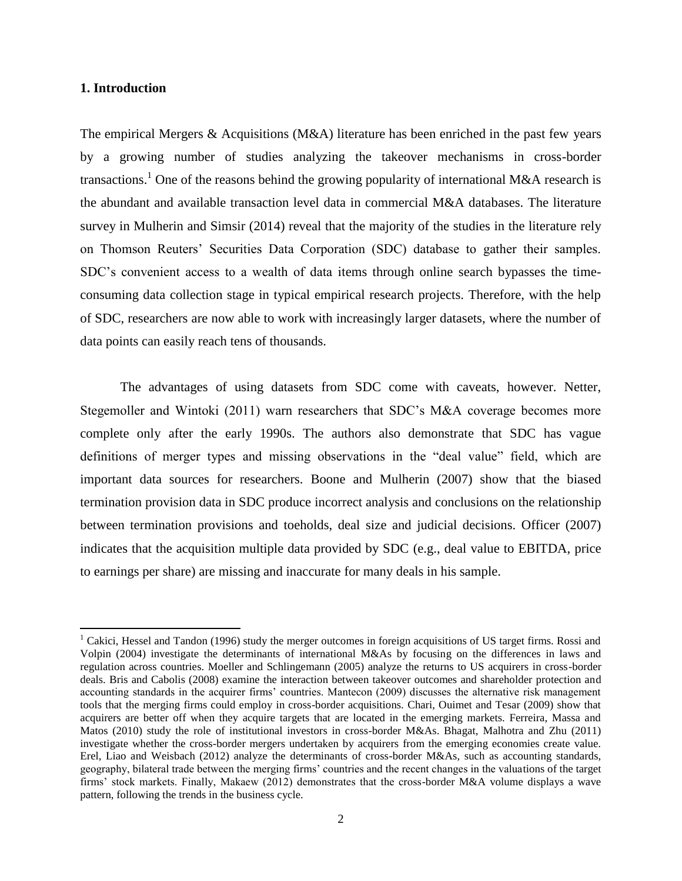### **1. Introduction**

 $\overline{\phantom{a}}$ 

The empirical Mergers & Acquisitions (M&A) literature has been enriched in the past few years by a growing number of studies analyzing the takeover mechanisms in cross-border transactions.<sup>1</sup> One of the reasons behind the growing popularity of international M&A research is the abundant and available transaction level data in commercial M&A databases. The literature survey in Mulherin and Simsir (2014) reveal that the majority of the studies in the literature rely on Thomson Reuters' Securities Data Corporation (SDC) database to gather their samples. SDC's convenient access to a wealth of data items through online search bypasses the timeconsuming data collection stage in typical empirical research projects. Therefore, with the help of SDC, researchers are now able to work with increasingly larger datasets, where the number of data points can easily reach tens of thousands.

The advantages of using datasets from SDC come with caveats, however. Netter, Stegemoller and Wintoki (2011) warn researchers that SDC's M&A coverage becomes more complete only after the early 1990s. The authors also demonstrate that SDC has vague definitions of merger types and missing observations in the "deal value" field, which are important data sources for researchers. Boone and Mulherin (2007) show that the biased termination provision data in SDC produce incorrect analysis and conclusions on the relationship between termination provisions and toeholds, deal size and judicial decisions. Officer (2007) indicates that the acquisition multiple data provided by SDC (e.g., deal value to EBITDA, price to earnings per share) are missing and inaccurate for many deals in his sample.

<sup>&</sup>lt;sup>1</sup> Cakici, Hessel and Tandon (1996) study the merger outcomes in foreign acquisitions of US target firms. Rossi and Volpin (2004) investigate the determinants of international M&As by focusing on the differences in laws and regulation across countries. Moeller and Schlingemann (2005) analyze the returns to US acquirers in cross-border deals. Bris and Cabolis (2008) examine the interaction between takeover outcomes and shareholder protection and accounting standards in the acquirer firms' countries. Mantecon (2009) discusses the alternative risk management tools that the merging firms could employ in cross-border acquisitions. Chari, Ouimet and Tesar (2009) show that acquirers are better off when they acquire targets that are located in the emerging markets. Ferreira, Massa and Matos (2010) study the role of institutional investors in cross-border M&As. Bhagat, Malhotra and Zhu (2011) investigate whether the cross-border mergers undertaken by acquirers from the emerging economies create value. Erel, Liao and Weisbach (2012) analyze the determinants of cross-border M&As, such as accounting standards, geography, bilateral trade between the merging firms' countries and the recent changes in the valuations of the target firms' stock markets. Finally, Makaew (2012) demonstrates that the cross-border M&A volume displays a wave pattern, following the trends in the business cycle.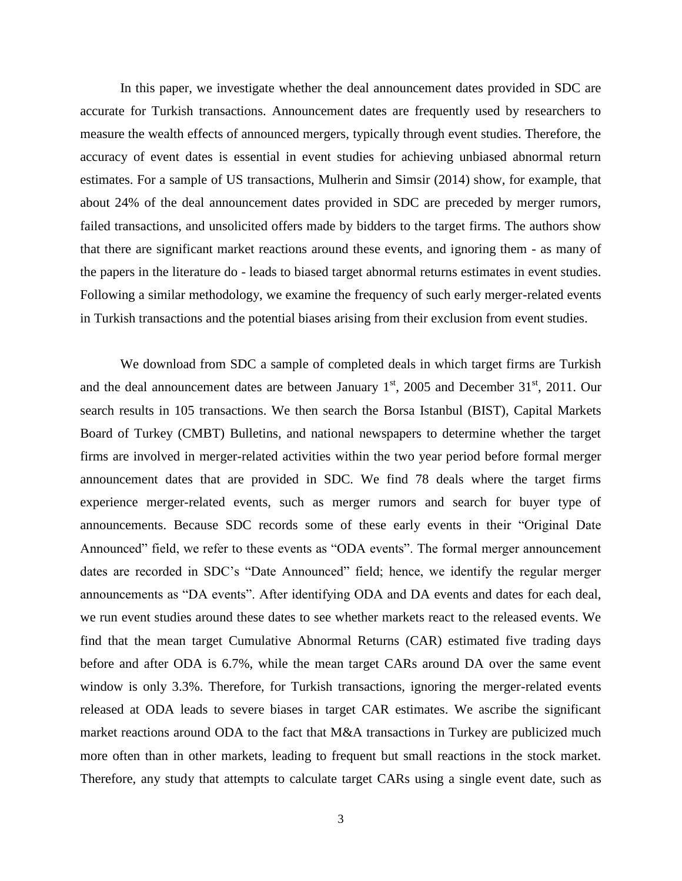In this paper, we investigate whether the deal announcement dates provided in SDC are accurate for Turkish transactions. Announcement dates are frequently used by researchers to measure the wealth effects of announced mergers, typically through event studies. Therefore, the accuracy of event dates is essential in event studies for achieving unbiased abnormal return estimates. For a sample of US transactions, Mulherin and Simsir (2014) show, for example, that about 24% of the deal announcement dates provided in SDC are preceded by merger rumors, failed transactions, and unsolicited offers made by bidders to the target firms. The authors show that there are significant market reactions around these events, and ignoring them - as many of the papers in the literature do - leads to biased target abnormal returns estimates in event studies. Following a similar methodology, we examine the frequency of such early merger-related events in Turkish transactions and the potential biases arising from their exclusion from event studies.

We download from SDC a sample of completed deals in which target firms are Turkish and the deal announcement dates are between January  $1<sup>st</sup>$ , 2005 and December 31 $<sup>st</sup>$ , 2011. Our</sup> search results in 105 transactions. We then search the Borsa Istanbul (BIST), Capital Markets Board of Turkey (CMBT) Bulletins, and national newspapers to determine whether the target firms are involved in merger-related activities within the two year period before formal merger announcement dates that are provided in SDC. We find 78 deals where the target firms experience merger-related events, such as merger rumors and search for buyer type of announcements. Because SDC records some of these early events in their "Original Date Announced" field, we refer to these events as "ODA events". The formal merger announcement dates are recorded in SDC's "Date Announced" field; hence, we identify the regular merger announcements as "DA events". After identifying ODA and DA events and dates for each deal, we run event studies around these dates to see whether markets react to the released events. We find that the mean target Cumulative Abnormal Returns (CAR) estimated five trading days before and after ODA is 6.7%, while the mean target CARs around DA over the same event window is only 3.3%. Therefore, for Turkish transactions, ignoring the merger-related events released at ODA leads to severe biases in target CAR estimates. We ascribe the significant market reactions around ODA to the fact that M&A transactions in Turkey are publicized much more often than in other markets, leading to frequent but small reactions in the stock market. Therefore, any study that attempts to calculate target CARs using a single event date, such as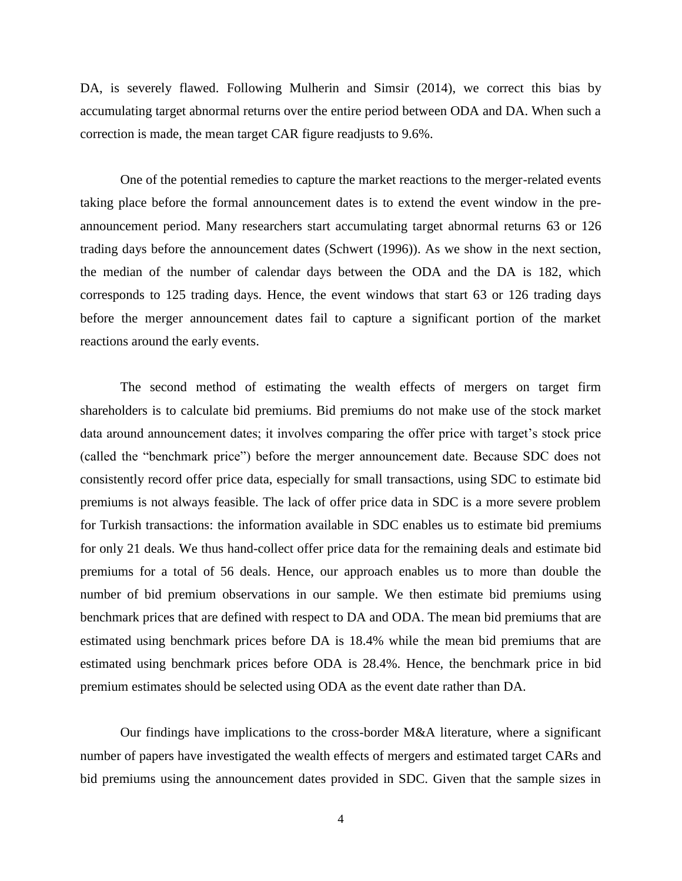DA, is severely flawed. Following Mulherin and Simsir (2014), we correct this bias by accumulating target abnormal returns over the entire period between ODA and DA. When such a correction is made, the mean target CAR figure readjusts to 9.6%.

One of the potential remedies to capture the market reactions to the merger-related events taking place before the formal announcement dates is to extend the event window in the preannouncement period. Many researchers start accumulating target abnormal returns 63 or 126 trading days before the announcement dates (Schwert (1996)). As we show in the next section, the median of the number of calendar days between the ODA and the DA is 182, which corresponds to 125 trading days. Hence, the event windows that start 63 or 126 trading days before the merger announcement dates fail to capture a significant portion of the market reactions around the early events.

The second method of estimating the wealth effects of mergers on target firm shareholders is to calculate bid premiums. Bid premiums do not make use of the stock market data around announcement dates; it involves comparing the offer price with target's stock price (called the "benchmark price") before the merger announcement date. Because SDC does not consistently record offer price data, especially for small transactions, using SDC to estimate bid premiums is not always feasible. The lack of offer price data in SDC is a more severe problem for Turkish transactions: the information available in SDC enables us to estimate bid premiums for only 21 deals. We thus hand-collect offer price data for the remaining deals and estimate bid premiums for a total of 56 deals. Hence, our approach enables us to more than double the number of bid premium observations in our sample. We then estimate bid premiums using benchmark prices that are defined with respect to DA and ODA. The mean bid premiums that are estimated using benchmark prices before DA is 18.4% while the mean bid premiums that are estimated using benchmark prices before ODA is 28.4%. Hence, the benchmark price in bid premium estimates should be selected using ODA as the event date rather than DA.

Our findings have implications to the cross-border M&A literature, where a significant number of papers have investigated the wealth effects of mergers and estimated target CARs and bid premiums using the announcement dates provided in SDC. Given that the sample sizes in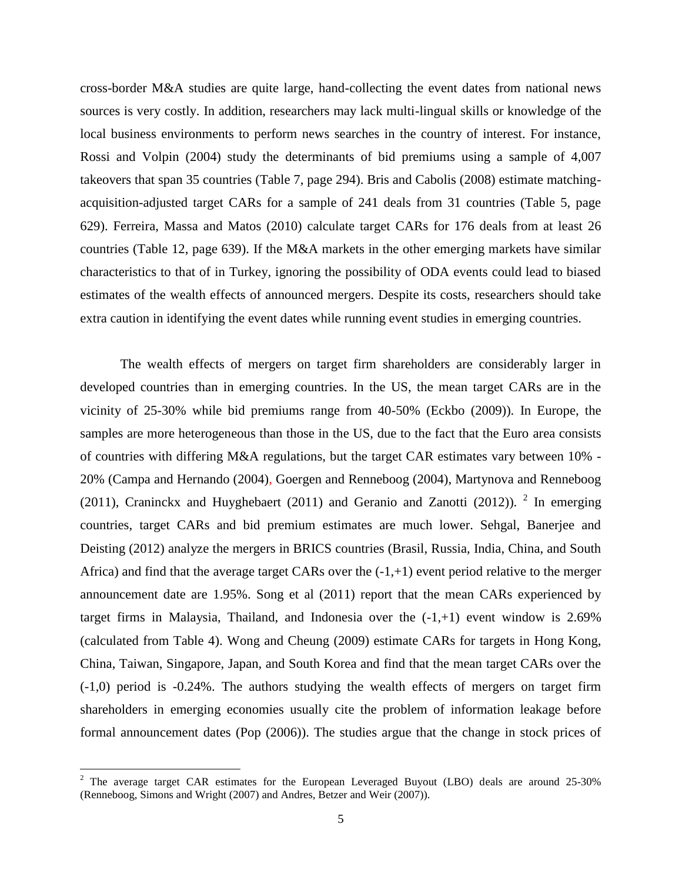cross-border M&A studies are quite large, hand-collecting the event dates from national news sources is very costly. In addition, researchers may lack multi-lingual skills or knowledge of the local business environments to perform news searches in the country of interest. For instance, Rossi and Volpin (2004) study the determinants of bid premiums using a sample of 4,007 takeovers that span 35 countries (Table 7, page 294). Bris and Cabolis (2008) estimate matchingacquisition-adjusted target CARs for a sample of 241 deals from 31 countries (Table 5, page 629). Ferreira, Massa and Matos (2010) calculate target CARs for 176 deals from at least 26 countries (Table 12, page 639). If the M&A markets in the other emerging markets have similar characteristics to that of in Turkey, ignoring the possibility of ODA events could lead to biased estimates of the wealth effects of announced mergers. Despite its costs, researchers should take extra caution in identifying the event dates while running event studies in emerging countries.

The wealth effects of mergers on target firm shareholders are considerably larger in developed countries than in emerging countries. In the US, the mean target CARs are in the vicinity of 25-30% while bid premiums range from 40-50% (Eckbo (2009)). In Europe, the samples are more heterogeneous than those in the US, due to the fact that the Euro area consists of countries with differing M&A regulations, but the target CAR estimates vary between 10% - 20% (Campa and Hernando (2004), Goergen and Renneboog (2004), Martynova and Renneboog (2011), Craninckx and Huyghebaert (2011) and Geranio and Zanotti (2012)). <sup>2</sup> In emerging countries, target CARs and bid premium estimates are much lower. Sehgal, Banerjee and Deisting (2012) analyze the mergers in BRICS countries (Brasil, Russia, India, China, and South Africa) and find that the average target CARs over the  $(-1,+1)$  event period relative to the merger announcement date are 1.95%. Song et al (2011) report that the mean CARs experienced by target firms in Malaysia, Thailand, and Indonesia over the  $(-1,+1)$  event window is 2.69% (calculated from Table 4). Wong and Cheung (2009) estimate CARs for targets in Hong Kong, China, Taiwan, Singapore, Japan, and South Korea and find that the mean target CARs over the (-1,0) period is -0.24%. The authors studying the wealth effects of mergers on target firm shareholders in emerging economies usually cite the problem of information leakage before formal announcement dates (Pop (2006)). The studies argue that the change in stock prices of

<sup>&</sup>lt;sup>2</sup> The average target CAR estimates for the European Leveraged Buyout (LBO) deals are around 25-30% (Renneboog, Simons and Wright (2007) and Andres, Betzer and Weir (2007)).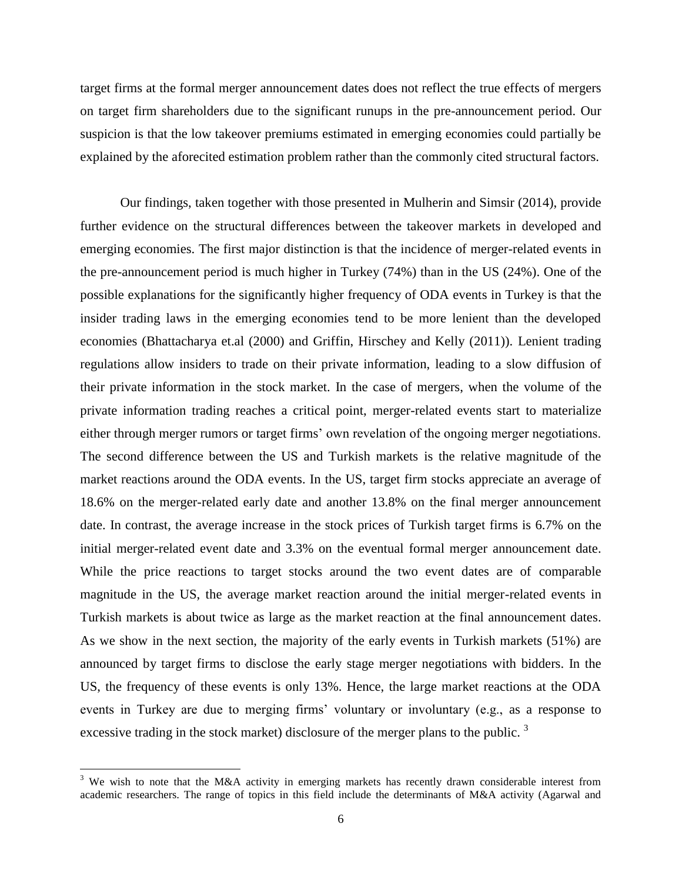target firms at the formal merger announcement dates does not reflect the true effects of mergers on target firm shareholders due to the significant runups in the pre-announcement period. Our suspicion is that the low takeover premiums estimated in emerging economies could partially be explained by the aforecited estimation problem rather than the commonly cited structural factors.

Our findings, taken together with those presented in Mulherin and Simsir (2014), provide further evidence on the structural differences between the takeover markets in developed and emerging economies. The first major distinction is that the incidence of merger-related events in the pre-announcement period is much higher in Turkey (74%) than in the US (24%). One of the possible explanations for the significantly higher frequency of ODA events in Turkey is that the insider trading laws in the emerging economies tend to be more lenient than the developed economies (Bhattacharya et.al (2000) and Griffin, Hirschey and Kelly (2011)). Lenient trading regulations allow insiders to trade on their private information, leading to a slow diffusion of their private information in the stock market. In the case of mergers, when the volume of the private information trading reaches a critical point, merger-related events start to materialize either through merger rumors or target firms' own revelation of the ongoing merger negotiations. The second difference between the US and Turkish markets is the relative magnitude of the market reactions around the ODA events. In the US, target firm stocks appreciate an average of 18.6% on the merger-related early date and another 13.8% on the final merger announcement date. In contrast, the average increase in the stock prices of Turkish target firms is 6.7% on the initial merger-related event date and 3.3% on the eventual formal merger announcement date. While the price reactions to target stocks around the two event dates are of comparable magnitude in the US, the average market reaction around the initial merger-related events in Turkish markets is about twice as large as the market reaction at the final announcement dates. As we show in the next section, the majority of the early events in Turkish markets (51%) are announced by target firms to disclose the early stage merger negotiations with bidders. In the US, the frequency of these events is only 13%. Hence, the large market reactions at the ODA events in Turkey are due to merging firms' voluntary or involuntary (e.g., as a response to excessive trading in the stock market) disclosure of the merger plans to the public.  $3$ 

 $3$  We wish to note that the M&A activity in emerging markets has recently drawn considerable interest from academic researchers. The range of topics in this field include the determinants of M&A activity (Agarwal and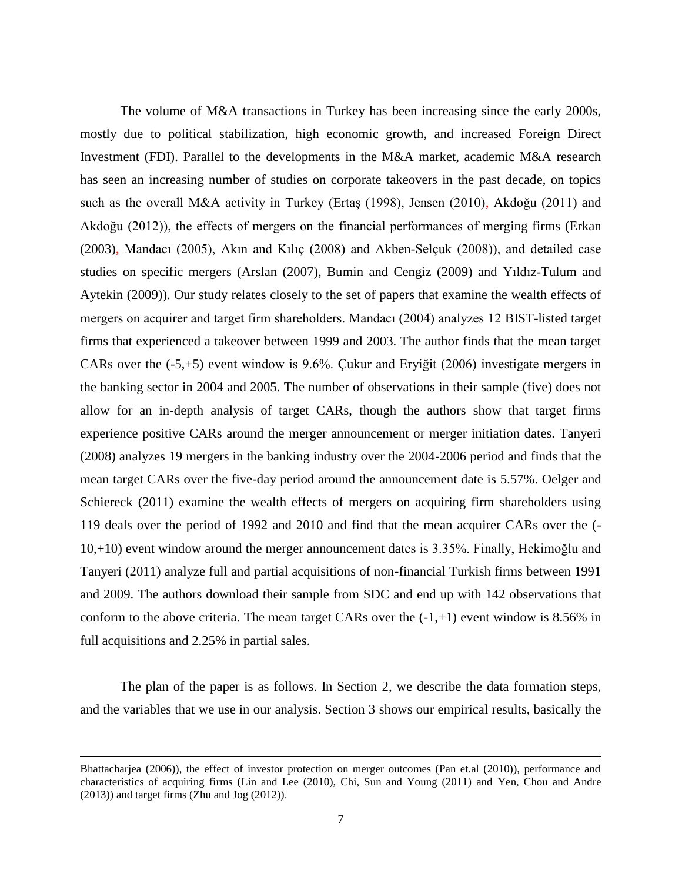The volume of M&A transactions in Turkey has been increasing since the early 2000s, mostly due to political stabilization, high economic growth, and increased Foreign Direct Investment (FDI). Parallel to the developments in the M&A market, academic M&A research has seen an increasing number of studies on corporate takeovers in the past decade, on topics such as the overall M&A activity in Turkey (Ertaş (1998), Jensen (2010), Akdoğu (2011) and Akdoğu (2012)), the effects of mergers on the financial performances of merging firms (Erkan (2003), Mandacı (2005), Akın and Kılıç (2008) and Akben-Selçuk (2008)), and detailed case studies on specific mergers (Arslan (2007), Bumin and Cengiz (2009) and Yıldız-Tulum and Aytekin (2009)). Our study relates closely to the set of papers that examine the wealth effects of mergers on acquirer and target firm shareholders. Mandacı (2004) analyzes 12 BIST-listed target firms that experienced a takeover between 1999 and 2003. The author finds that the mean target CARs over the (-5,+5) event window is 9.6%. Çukur and Eryiğit (2006) investigate mergers in the banking sector in 2004 and 2005. The number of observations in their sample (five) does not allow for an in-depth analysis of target CARs, though the authors show that target firms experience positive CARs around the merger announcement or merger initiation dates. Tanyeri (2008) analyzes 19 mergers in the banking industry over the 2004-2006 period and finds that the mean target CARs over the five-day period around the announcement date is 5.57%. Oelger and Schiereck (2011) examine the wealth effects of mergers on acquiring firm shareholders using 119 deals over the period of 1992 and 2010 and find that the mean acquirer CARs over the (- 10,+10) event window around the merger announcement dates is 3.35%. Finally, Hekimoğlu and Tanyeri (2011) analyze full and partial acquisitions of non-financial Turkish firms between 1991 and 2009. The authors download their sample from SDC and end up with 142 observations that conform to the above criteria. The mean target CARs over the  $(-1, +1)$  event window is 8.56% in full acquisitions and 2.25% in partial sales.

The plan of the paper is as follows. In Section 2, we describe the data formation steps, and the variables that we use in our analysis. Section 3 shows our empirical results, basically the

Bhattacharjea (2006)), the effect of investor protection on merger outcomes (Pan et.al (2010)), performance and characteristics of acquiring firms (Lin and Lee (2010), Chi, Sun and Young (2011) and Yen, Chou and Andre (2013)) and target firms (Zhu and Jog (2012)).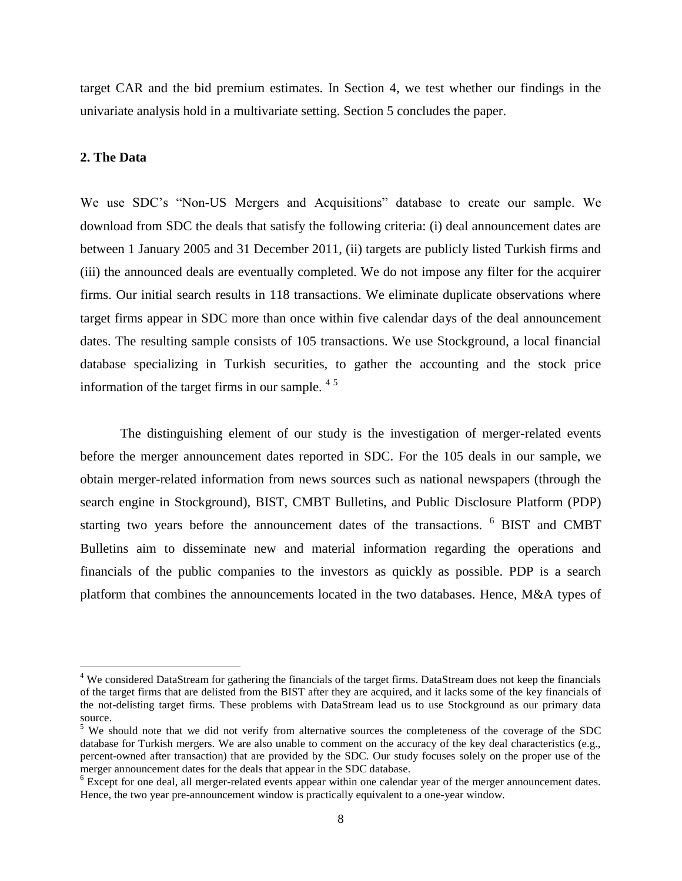target CAR and the bid premium estimates. In Section 4, we test whether our findings in the univariate analysis hold in a multivariate setting. Section 5 concludes the paper.

### **2. The Data**

 $\overline{\phantom{a}}$ 

We use SDC's "Non-US Mergers and Acquisitions" database to create our sample. We download from SDC the deals that satisfy the following criteria: (i) deal announcement dates are between 1 January 2005 and 31 December 2011, (ii) targets are publicly listed Turkish firms and (iii) the announced deals are eventually completed. We do not impose any filter for the acquirer firms. Our initial search results in 118 transactions. We eliminate duplicate observations where target firms appear in SDC more than once within five calendar days of the deal announcement dates. The resulting sample consists of 105 transactions. We use Stockground, a local financial database specializing in Turkish securities, to gather the accounting and the stock price information of the target firms in our sample.  $45$ 

The distinguishing element of our study is the investigation of merger-related events before the merger announcement dates reported in SDC. For the 105 deals in our sample, we obtain merger-related information from news sources such as national newspapers (through the search engine in Stockground), BIST, CMBT Bulletins, and Public Disclosure Platform (PDP) starting two years before the announcement dates of the transactions. <sup>6</sup> BIST and CMBT Bulletins aim to disseminate new and material information regarding the operations and financials of the public companies to the investors as quickly as possible. PDP is a search platform that combines the announcements located in the two databases. Hence, M&A types of

<sup>&</sup>lt;sup>4</sup> We considered DataStream for gathering the financials of the target firms. DataStream does not keep the financials of the target firms that are delisted from the BIST after they are acquired, and it lacks some of the key financials of the not-delisting target firms. These problems with DataStream lead us to use Stockground as our primary data source.

<sup>&</sup>lt;sup>5</sup> We should note that we did not verify from alternative sources the completeness of the coverage of the SDC database for Turkish mergers. We are also unable to comment on the accuracy of the key deal characteristics (e.g., percent-owned after transaction) that are provided by the SDC. Our study focuses solely on the proper use of the merger announcement dates for the deals that appear in the SDC database.

<sup>6</sup> Except for one deal, all merger-related events appear within one calendar year of the merger announcement dates. Hence, the two year pre-announcement window is practically equivalent to a one-year window.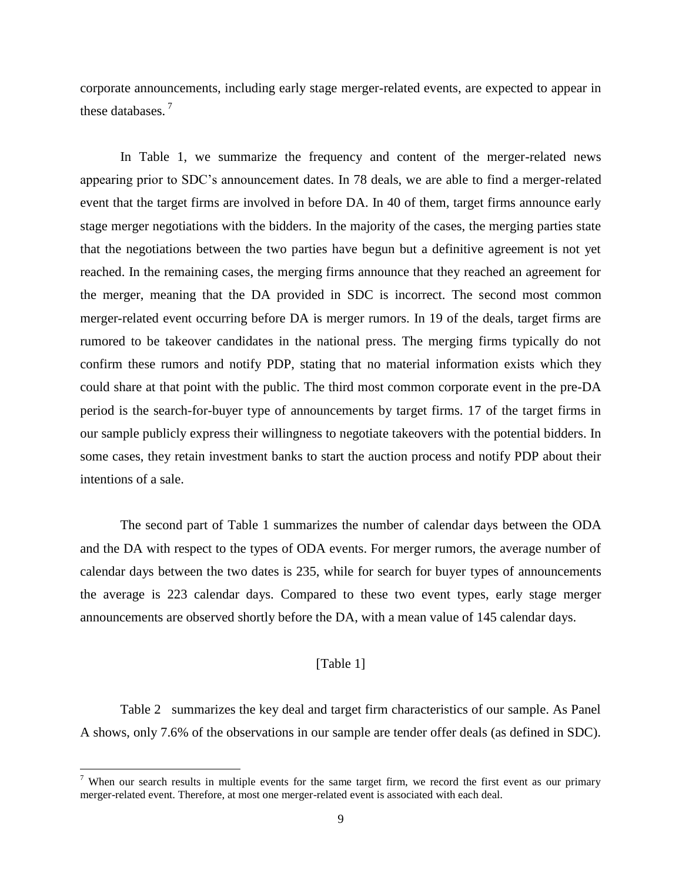corporate announcements, including early stage merger-related events, are expected to appear in these databases.<sup>7</sup>

In Table 1, we summarize the frequency and content of the merger-related news appearing prior to SDC's announcement dates. In 78 deals, we are able to find a merger-related event that the target firms are involved in before DA. In 40 of them, target firms announce early stage merger negotiations with the bidders. In the majority of the cases, the merging parties state that the negotiations between the two parties have begun but a definitive agreement is not yet reached. In the remaining cases, the merging firms announce that they reached an agreement for the merger, meaning that the DA provided in SDC is incorrect. The second most common merger-related event occurring before DA is merger rumors. In 19 of the deals, target firms are rumored to be takeover candidates in the national press. The merging firms typically do not confirm these rumors and notify PDP, stating that no material information exists which they could share at that point with the public. The third most common corporate event in the pre-DA period is the search-for-buyer type of announcements by target firms. 17 of the target firms in our sample publicly express their willingness to negotiate takeovers with the potential bidders. In some cases, they retain investment banks to start the auction process and notify PDP about their intentions of a sale.

The second part of Table 1 summarizes the number of calendar days between the ODA and the DA with respect to the types of ODA events. For merger rumors, the average number of calendar days between the two dates is 235, while for search for buyer types of announcements the average is 223 calendar days. Compared to these two event types, early stage merger announcements are observed shortly before the DA, with a mean value of 145 calendar days.

## [Table 1]

Table 2 summarizes the key deal and target firm characteristics of our sample. As Panel A shows, only 7.6% of the observations in our sample are tender offer deals (as defined in SDC).

<sup>&</sup>lt;sup>7</sup> When our search results in multiple events for the same target firm, we record the first event as our primary merger-related event. Therefore, at most one merger-related event is associated with each deal.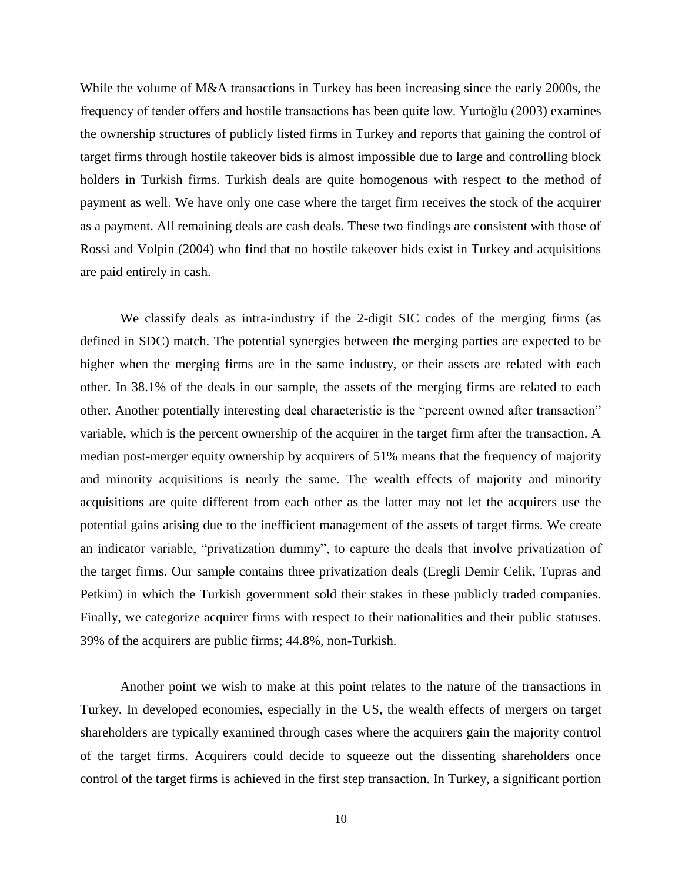While the volume of M&A transactions in Turkey has been increasing since the early 2000s, the frequency of tender offers and hostile transactions has been quite low. Yurtoğlu (2003) examines the ownership structures of publicly listed firms in Turkey and reports that gaining the control of target firms through hostile takeover bids is almost impossible due to large and controlling block holders in Turkish firms. Turkish deals are quite homogenous with respect to the method of payment as well. We have only one case where the target firm receives the stock of the acquirer as a payment. All remaining deals are cash deals. These two findings are consistent with those of Rossi and Volpin (2004) who find that no hostile takeover bids exist in Turkey and acquisitions are paid entirely in cash.

We classify deals as intra-industry if the 2-digit SIC codes of the merging firms (as defined in SDC) match. The potential synergies between the merging parties are expected to be higher when the merging firms are in the same industry, or their assets are related with each other. In 38.1% of the deals in our sample, the assets of the merging firms are related to each other. Another potentially interesting deal characteristic is the "percent owned after transaction" variable, which is the percent ownership of the acquirer in the target firm after the transaction. A median post-merger equity ownership by acquirers of 51% means that the frequency of majority and minority acquisitions is nearly the same. The wealth effects of majority and minority acquisitions are quite different from each other as the latter may not let the acquirers use the potential gains arising due to the inefficient management of the assets of target firms. We create an indicator variable, "privatization dummy", to capture the deals that involve privatization of the target firms. Our sample contains three privatization deals (Eregli Demir Celik, Tupras and Petkim) in which the Turkish government sold their stakes in these publicly traded companies. Finally, we categorize acquirer firms with respect to their nationalities and their public statuses. 39% of the acquirers are public firms; 44.8%, non-Turkish.

Another point we wish to make at this point relates to the nature of the transactions in Turkey. In developed economies, especially in the US, the wealth effects of mergers on target shareholders are typically examined through cases where the acquirers gain the majority control of the target firms. Acquirers could decide to squeeze out the dissenting shareholders once control of the target firms is achieved in the first step transaction. In Turkey, a significant portion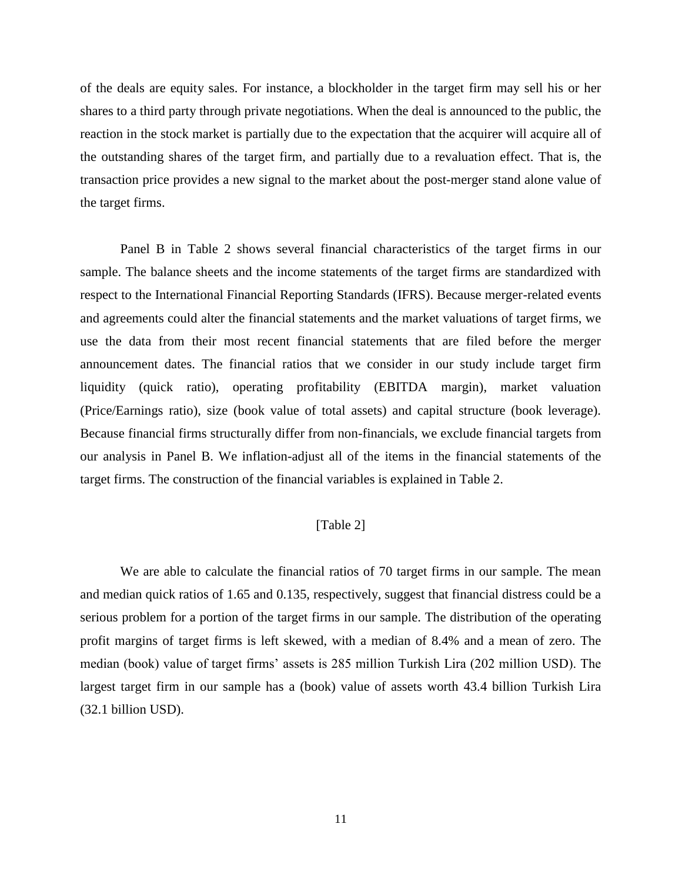of the deals are equity sales. For instance, a blockholder in the target firm may sell his or her shares to a third party through private negotiations. When the deal is announced to the public, the reaction in the stock market is partially due to the expectation that the acquirer will acquire all of the outstanding shares of the target firm, and partially due to a revaluation effect. That is, the transaction price provides a new signal to the market about the post-merger stand alone value of the target firms.

Panel B in Table 2 shows several financial characteristics of the target firms in our sample. The balance sheets and the income statements of the target firms are standardized with respect to the International Financial Reporting Standards (IFRS). Because merger-related events and agreements could alter the financial statements and the market valuations of target firms, we use the data from their most recent financial statements that are filed before the merger announcement dates. The financial ratios that we consider in our study include target firm liquidity (quick ratio), operating profitability (EBITDA margin), market valuation (Price/Earnings ratio), size (book value of total assets) and capital structure (book leverage). Because financial firms structurally differ from non-financials, we exclude financial targets from our analysis in Panel B. We inflation-adjust all of the items in the financial statements of the target firms. The construction of the financial variables is explained in Table 2.

## [Table 2]

We are able to calculate the financial ratios of 70 target firms in our sample. The mean and median quick ratios of 1.65 and 0.135, respectively, suggest that financial distress could be a serious problem for a portion of the target firms in our sample. The distribution of the operating profit margins of target firms is left skewed, with a median of 8.4% and a mean of zero. The median (book) value of target firms' assets is 285 million Turkish Lira (202 million USD). The largest target firm in our sample has a (book) value of assets worth 43.4 billion Turkish Lira (32.1 billion USD).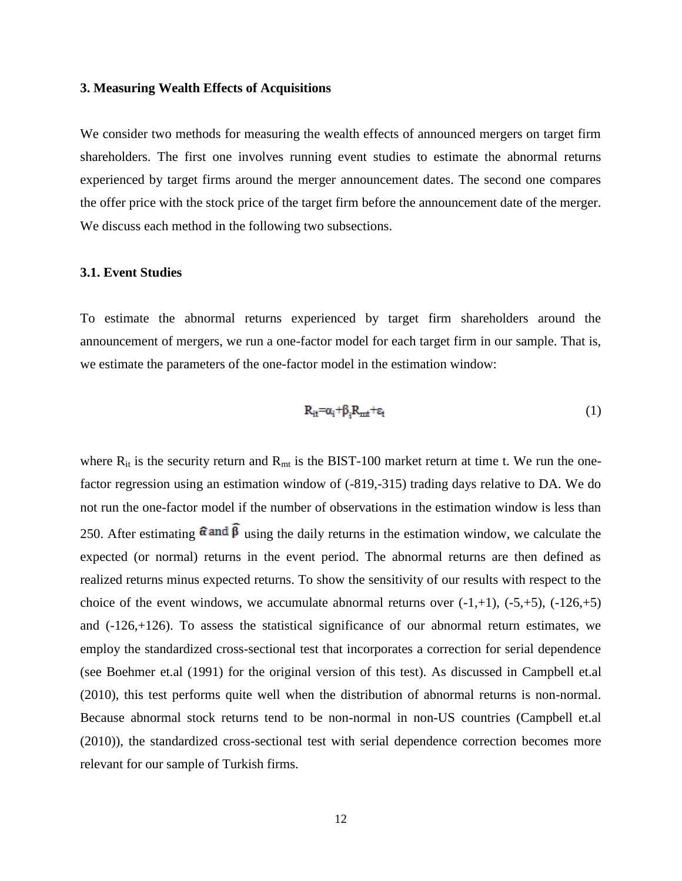## **3. Measuring Wealth Effects of Acquisitions**

We consider two methods for measuring the wealth effects of announced mergers on target firm shareholders. The first one involves running event studies to estimate the abnormal returns experienced by target firms around the merger announcement dates. The second one compares the offer price with the stock price of the target firm before the announcement date of the merger. We discuss each method in the following two subsections.

#### **3.1. Event Studies**

To estimate the abnormal returns experienced by target firm shareholders around the announcement of mergers, we run a one-factor model for each target firm in our sample. That is, we estimate the parameters of the one-factor model in the estimation window:

$$
R_{it} = \alpha_i + \beta_i R_{mt} + \varepsilon_t \tag{1}
$$

where  $R_{it}$  is the security return and  $R_{mt}$  is the BIST-100 market return at time t. We run the onefactor regression using an estimation window of (-819,-315) trading days relative to DA. We do not run the one-factor model if the number of observations in the estimation window is less than 250. After estimating  $\hat{\alpha}$  and  $\hat{\beta}$  using the daily returns in the estimation window, we calculate the expected (or normal) returns in the event period. The abnormal returns are then defined as realized returns minus expected returns. To show the sensitivity of our results with respect to the choice of the event windows, we accumulate abnormal returns over  $(-1, +1)$ ,  $(-5, +5)$ ,  $(-126, +5)$ and  $(-126,+126)$ . To assess the statistical significance of our abnormal return estimates, we employ the standardized cross-sectional test that incorporates a correction for serial dependence (see Boehmer et.al (1991) for the original version of this test). As discussed in Campbell et.al (2010), this test performs quite well when the distribution of abnormal returns is non-normal. Because abnormal stock returns tend to be non-normal in non-US countries (Campbell et.al (2010)), the standardized cross-sectional test with serial dependence correction becomes more relevant for our sample of Turkish firms.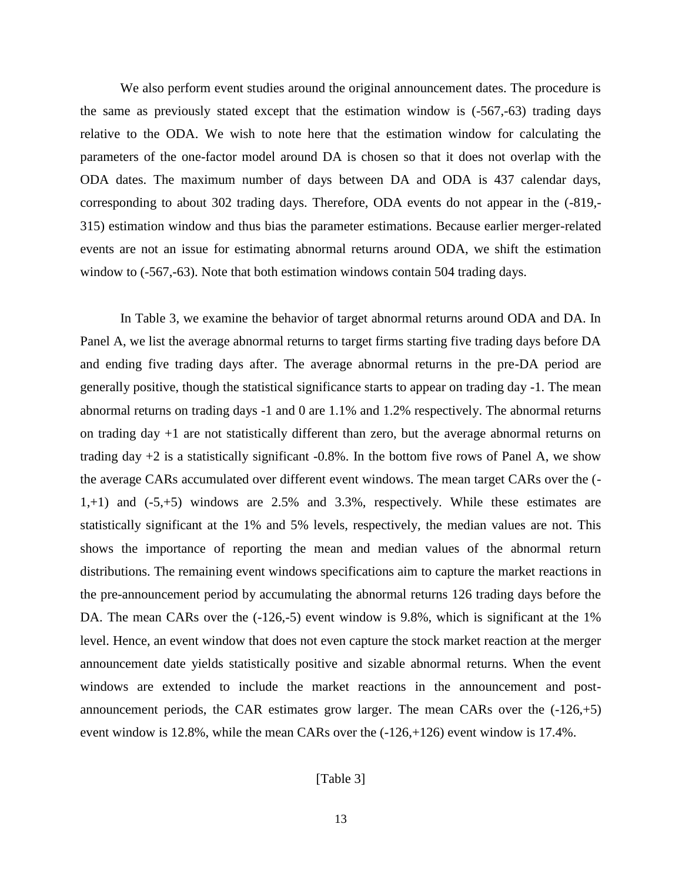We also perform event studies around the original announcement dates. The procedure is the same as previously stated except that the estimation window is (-567,-63) trading days relative to the ODA. We wish to note here that the estimation window for calculating the parameters of the one-factor model around DA is chosen so that it does not overlap with the ODA dates. The maximum number of days between DA and ODA is 437 calendar days, corresponding to about 302 trading days. Therefore, ODA events do not appear in the (-819,- 315) estimation window and thus bias the parameter estimations. Because earlier merger-related events are not an issue for estimating abnormal returns around ODA, we shift the estimation window to  $(-567,-63)$ . Note that both estimation windows contain 504 trading days.

In Table 3, we examine the behavior of target abnormal returns around ODA and DA. In Panel A, we list the average abnormal returns to target firms starting five trading days before DA and ending five trading days after. The average abnormal returns in the pre-DA period are generally positive, though the statistical significance starts to appear on trading day -1. The mean abnormal returns on trading days -1 and 0 are 1.1% and 1.2% respectively. The abnormal returns on trading day +1 are not statistically different than zero, but the average abnormal returns on trading day  $+2$  is a statistically significant  $-0.8\%$ . In the bottom five rows of Panel A, we show the average CARs accumulated over different event windows. The mean target CARs over the (- 1,+1) and (-5,+5) windows are 2.5% and 3.3%, respectively. While these estimates are statistically significant at the 1% and 5% levels, respectively, the median values are not. This shows the importance of reporting the mean and median values of the abnormal return distributions. The remaining event windows specifications aim to capture the market reactions in the pre-announcement period by accumulating the abnormal returns 126 trading days before the DA. The mean CARs over the  $(-126,-5)$  event window is 9.8%, which is significant at the 1% level. Hence, an event window that does not even capture the stock market reaction at the merger announcement date yields statistically positive and sizable abnormal returns. When the event windows are extended to include the market reactions in the announcement and postannouncement periods, the CAR estimates grow larger. The mean CARs over the (-126,+5) event window is 12.8%, while the mean CARs over the (-126,+126) event window is 17.4%.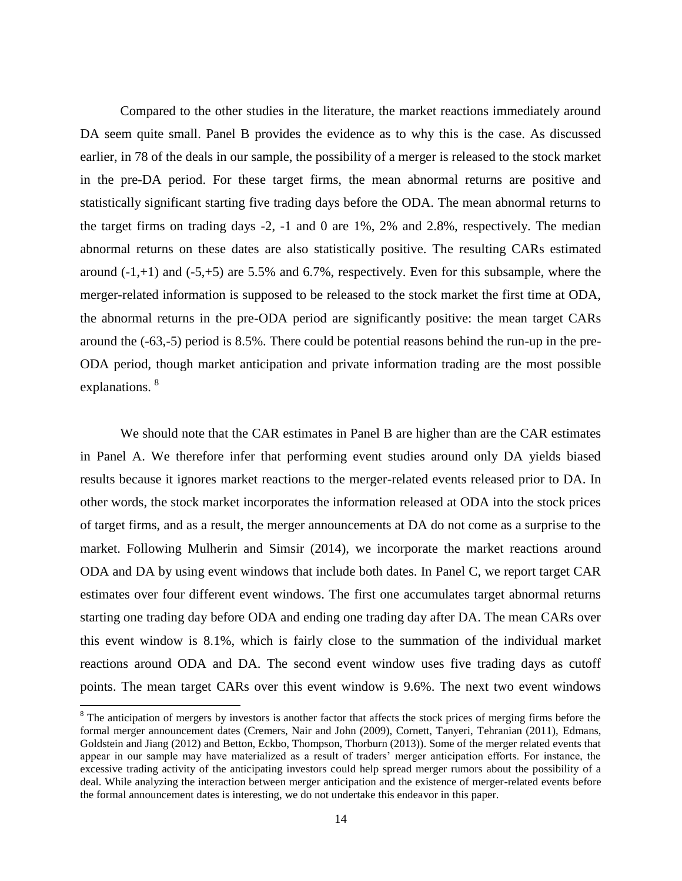Compared to the other studies in the literature, the market reactions immediately around DA seem quite small. Panel B provides the evidence as to why this is the case. As discussed earlier, in 78 of the deals in our sample, the possibility of a merger is released to the stock market in the pre-DA period. For these target firms, the mean abnormal returns are positive and statistically significant starting five trading days before the ODA. The mean abnormal returns to the target firms on trading days -2, -1 and 0 are 1%, 2% and 2.8%, respectively. The median abnormal returns on these dates are also statistically positive. The resulting CARs estimated around  $(-1, +1)$  and  $(-5, +5)$  are 5.5% and 6.7%, respectively. Even for this subsample, where the merger-related information is supposed to be released to the stock market the first time at ODA, the abnormal returns in the pre-ODA period are significantly positive: the mean target CARs around the (-63,-5) period is 8.5%. There could be potential reasons behind the run-up in the pre-ODA period, though market anticipation and private information trading are the most possible explanations.<sup>8</sup>

We should note that the CAR estimates in Panel B are higher than are the CAR estimates in Panel A. We therefore infer that performing event studies around only DA yields biased results because it ignores market reactions to the merger-related events released prior to DA. In other words, the stock market incorporates the information released at ODA into the stock prices of target firms, and as a result, the merger announcements at DA do not come as a surprise to the market. Following Mulherin and Simsir (2014), we incorporate the market reactions around ODA and DA by using event windows that include both dates. In Panel C, we report target CAR estimates over four different event windows. The first one accumulates target abnormal returns starting one trading day before ODA and ending one trading day after DA. The mean CARs over this event window is 8.1%, which is fairly close to the summation of the individual market reactions around ODA and DA. The second event window uses five trading days as cutoff points. The mean target CARs over this event window is 9.6%. The next two event windows

<sup>&</sup>lt;sup>8</sup> The anticipation of mergers by investors is another factor that affects the stock prices of merging firms before the formal merger announcement dates (Cremers, Nair and John (2009), Cornett, Tanyeri, Tehranian (2011), Edmans, Goldstein and Jiang (2012) and Betton, Eckbo, Thompson, Thorburn (2013)). Some of the merger related events that appear in our sample may have materialized as a result of traders' merger anticipation efforts. For instance, the excessive trading activity of the anticipating investors could help spread merger rumors about the possibility of a deal. While analyzing the interaction between merger anticipation and the existence of merger-related events before the formal announcement dates is interesting, we do not undertake this endeavor in this paper.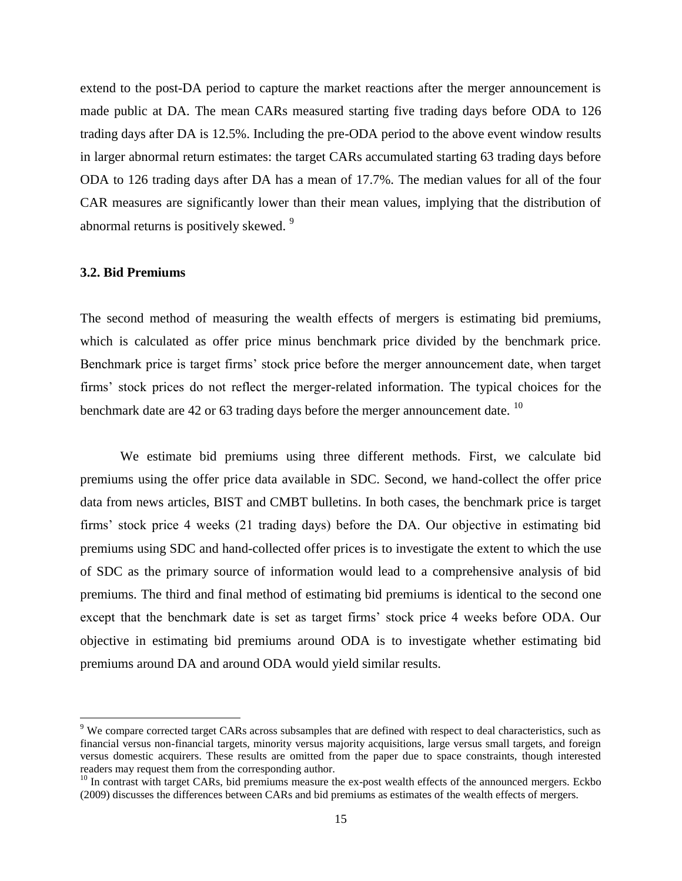extend to the post-DA period to capture the market reactions after the merger announcement is made public at DA. The mean CARs measured starting five trading days before ODA to 126 trading days after DA is 12.5%. Including the pre-ODA period to the above event window results in larger abnormal return estimates: the target CARs accumulated starting 63 trading days before ODA to 126 trading days after DA has a mean of 17.7%. The median values for all of the four CAR measures are significantly lower than their mean values, implying that the distribution of abnormal returns is positively skewed.<sup>9</sup>

#### **3.2. Bid Premiums**

l

The second method of measuring the wealth effects of mergers is estimating bid premiums, which is calculated as offer price minus benchmark price divided by the benchmark price. Benchmark price is target firms' stock price before the merger announcement date, when target firms' stock prices do not reflect the merger-related information. The typical choices for the benchmark date are 42 or 63 trading days before the merger announcement date.  $^{10}$ 

We estimate bid premiums using three different methods. First, we calculate bid premiums using the offer price data available in SDC. Second, we hand-collect the offer price data from news articles, BIST and CMBT bulletins. In both cases, the benchmark price is target firms' stock price 4 weeks (21 trading days) before the DA. Our objective in estimating bid premiums using SDC and hand-collected offer prices is to investigate the extent to which the use of SDC as the primary source of information would lead to a comprehensive analysis of bid premiums. The third and final method of estimating bid premiums is identical to the second one except that the benchmark date is set as target firms' stock price 4 weeks before ODA. Our objective in estimating bid premiums around ODA is to investigate whether estimating bid premiums around DA and around ODA would yield similar results.

<sup>9</sup> We compare corrected target CARs across subsamples that are defined with respect to deal characteristics, such as financial versus non-financial targets, minority versus majority acquisitions, large versus small targets, and foreign versus domestic acquirers. These results are omitted from the paper due to space constraints, though interested readers may request them from the corresponding author.

<sup>&</sup>lt;sup>10</sup> In contrast with target CARs, bid premiums measure the ex-post wealth effects of the announced mergers. Eckbo (2009) discusses the differences between CARs and bid premiums as estimates of the wealth effects of mergers.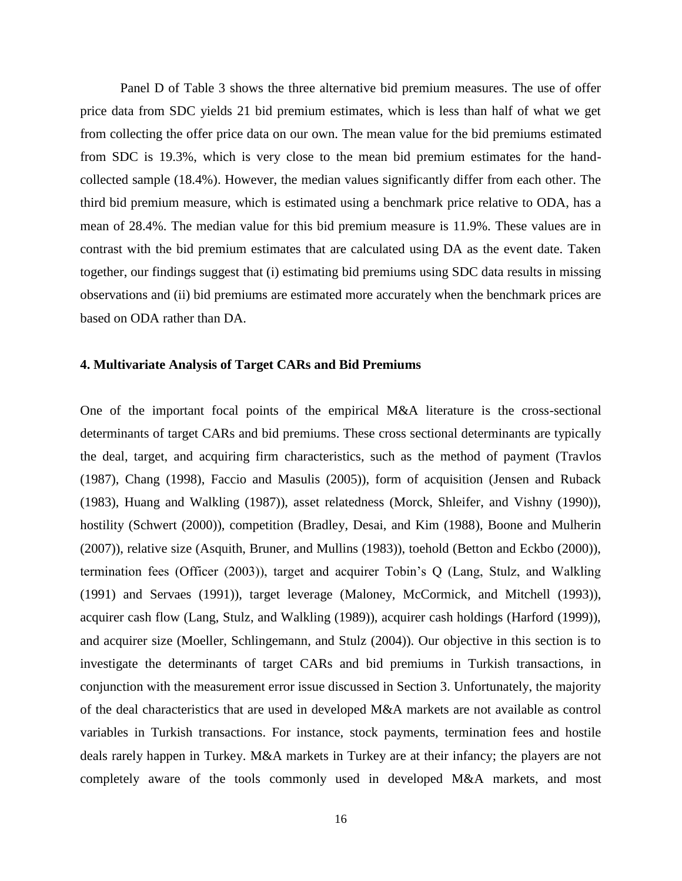Panel D of Table 3 shows the three alternative bid premium measures. The use of offer price data from SDC yields 21 bid premium estimates, which is less than half of what we get from collecting the offer price data on our own. The mean value for the bid premiums estimated from SDC is 19.3%, which is very close to the mean bid premium estimates for the handcollected sample (18.4%). However, the median values significantly differ from each other. The third bid premium measure, which is estimated using a benchmark price relative to ODA, has a mean of 28.4%. The median value for this bid premium measure is 11.9%. These values are in contrast with the bid premium estimates that are calculated using DA as the event date. Taken together, our findings suggest that (i) estimating bid premiums using SDC data results in missing observations and (ii) bid premiums are estimated more accurately when the benchmark prices are based on ODA rather than DA.

#### **4. Multivariate Analysis of Target CARs and Bid Premiums**

One of the important focal points of the empirical M&A literature is the cross-sectional determinants of target CARs and bid premiums. These cross sectional determinants are typically the deal, target, and acquiring firm characteristics, such as the method of payment (Travlos (1987), Chang (1998), Faccio and Masulis (2005)), form of acquisition (Jensen and Ruback (1983), Huang and Walkling (1987)), asset relatedness (Morck, Shleifer, and Vishny (1990)), hostility (Schwert (2000)), competition (Bradley, Desai, and Kim (1988), Boone and Mulherin (2007)), relative size (Asquith, Bruner, and Mullins (1983)), toehold (Betton and Eckbo (2000)), termination fees (Officer (2003)), target and acquirer Tobin's Q (Lang, Stulz, and Walkling (1991) and Servaes (1991)), target leverage (Maloney, McCormick, and Mitchell (1993)), acquirer cash flow (Lang, Stulz, and Walkling (1989)), acquirer cash holdings (Harford (1999)), and acquirer size (Moeller, Schlingemann, and Stulz (2004)). Our objective in this section is to investigate the determinants of target CARs and bid premiums in Turkish transactions, in conjunction with the measurement error issue discussed in Section 3. Unfortunately, the majority of the deal characteristics that are used in developed M&A markets are not available as control variables in Turkish transactions. For instance, stock payments, termination fees and hostile deals rarely happen in Turkey. M&A markets in Turkey are at their infancy; the players are not completely aware of the tools commonly used in developed M&A markets, and most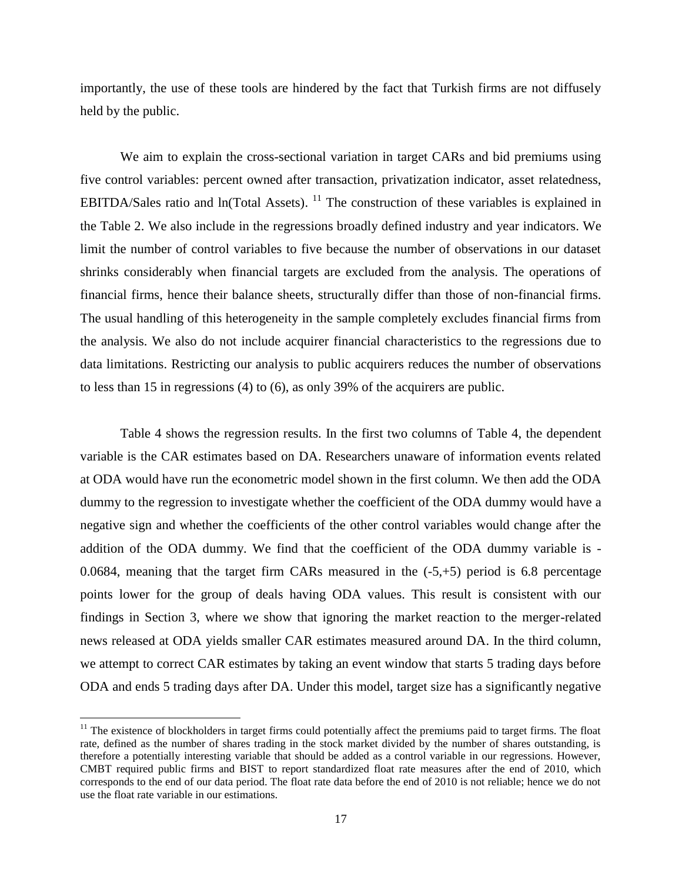importantly, the use of these tools are hindered by the fact that Turkish firms are not diffusely held by the public.

We aim to explain the cross-sectional variation in target CARs and bid premiums using five control variables: percent owned after transaction, privatization indicator, asset relatedness, EBITDA/Sales ratio and  $ln(Total$  Assets). <sup>11</sup> The construction of these variables is explained in the Table 2. We also include in the regressions broadly defined industry and year indicators. We limit the number of control variables to five because the number of observations in our dataset shrinks considerably when financial targets are excluded from the analysis. The operations of financial firms, hence their balance sheets, structurally differ than those of non-financial firms. The usual handling of this heterogeneity in the sample completely excludes financial firms from the analysis. We also do not include acquirer financial characteristics to the regressions due to data limitations. Restricting our analysis to public acquirers reduces the number of observations to less than 15 in regressions (4) to (6), as only 39% of the acquirers are public.

Table 4 shows the regression results. In the first two columns of Table 4, the dependent variable is the CAR estimates based on DA. Researchers unaware of information events related at ODA would have run the econometric model shown in the first column. We then add the ODA dummy to the regression to investigate whether the coefficient of the ODA dummy would have a negative sign and whether the coefficients of the other control variables would change after the addition of the ODA dummy. We find that the coefficient of the ODA dummy variable is - 0.0684, meaning that the target firm CARs measured in the  $(-5, +5)$  period is 6.8 percentage points lower for the group of deals having ODA values. This result is consistent with our findings in Section 3, where we show that ignoring the market reaction to the merger-related news released at ODA yields smaller CAR estimates measured around DA. In the third column, we attempt to correct CAR estimates by taking an event window that starts 5 trading days before ODA and ends 5 trading days after DA. Under this model, target size has a significantly negative

l

 $11$  The existence of blockholders in target firms could potentially affect the premiums paid to target firms. The float rate, defined as the number of shares trading in the stock market divided by the number of shares outstanding, is therefore a potentially interesting variable that should be added as a control variable in our regressions. However, CMBT required public firms and BIST to report standardized float rate measures after the end of 2010, which corresponds to the end of our data period. The float rate data before the end of 2010 is not reliable; hence we do not use the float rate variable in our estimations.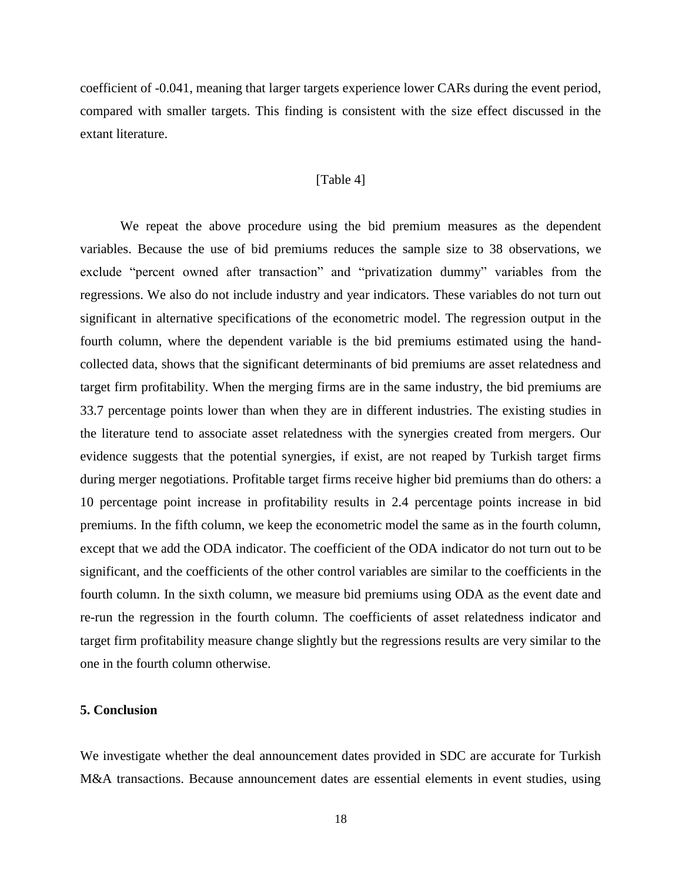coefficient of -0.041, meaning that larger targets experience lower CARs during the event period, compared with smaller targets. This finding is consistent with the size effect discussed in the extant literature.

## [Table 4]

We repeat the above procedure using the bid premium measures as the dependent variables. Because the use of bid premiums reduces the sample size to 38 observations, we exclude "percent owned after transaction" and "privatization dummy" variables from the regressions. We also do not include industry and year indicators. These variables do not turn out significant in alternative specifications of the econometric model. The regression output in the fourth column, where the dependent variable is the bid premiums estimated using the handcollected data, shows that the significant determinants of bid premiums are asset relatedness and target firm profitability. When the merging firms are in the same industry, the bid premiums are 33.7 percentage points lower than when they are in different industries. The existing studies in the literature tend to associate asset relatedness with the synergies created from mergers. Our evidence suggests that the potential synergies, if exist, are not reaped by Turkish target firms during merger negotiations. Profitable target firms receive higher bid premiums than do others: a 10 percentage point increase in profitability results in 2.4 percentage points increase in bid premiums. In the fifth column, we keep the econometric model the same as in the fourth column, except that we add the ODA indicator. The coefficient of the ODA indicator do not turn out to be significant, and the coefficients of the other control variables are similar to the coefficients in the fourth column. In the sixth column, we measure bid premiums using ODA as the event date and re-run the regression in the fourth column. The coefficients of asset relatedness indicator and target firm profitability measure change slightly but the regressions results are very similar to the one in the fourth column otherwise.

## **5. Conclusion**

We investigate whether the deal announcement dates provided in SDC are accurate for Turkish M&A transactions. Because announcement dates are essential elements in event studies, using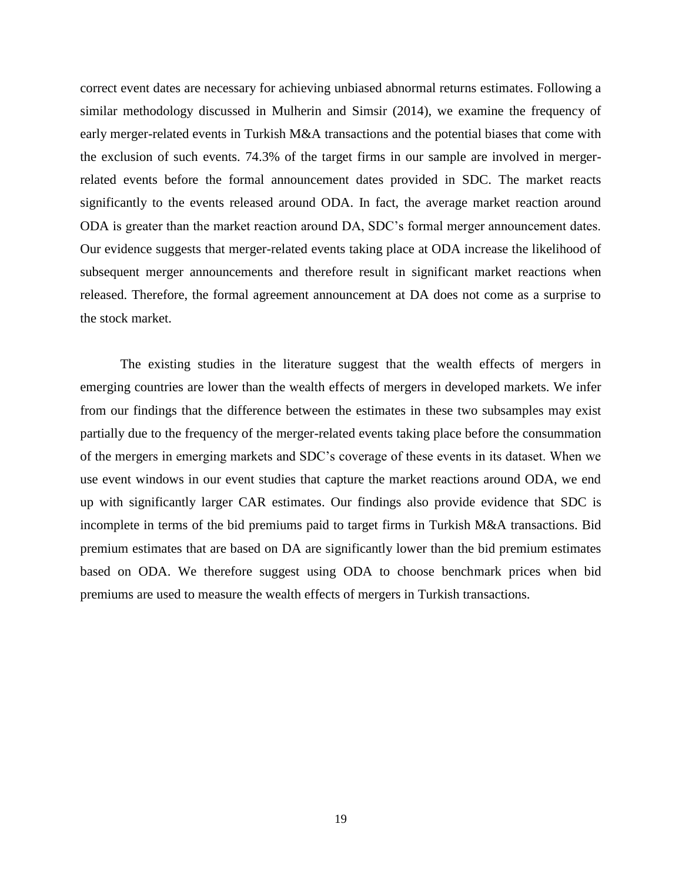correct event dates are necessary for achieving unbiased abnormal returns estimates. Following a similar methodology discussed in Mulherin and Simsir (2014), we examine the frequency of early merger-related events in Turkish M&A transactions and the potential biases that come with the exclusion of such events. 74.3% of the target firms in our sample are involved in mergerrelated events before the formal announcement dates provided in SDC. The market reacts significantly to the events released around ODA. In fact, the average market reaction around ODA is greater than the market reaction around DA, SDC's formal merger announcement dates. Our evidence suggests that merger-related events taking place at ODA increase the likelihood of subsequent merger announcements and therefore result in significant market reactions when released. Therefore, the formal agreement announcement at DA does not come as a surprise to the stock market.

The existing studies in the literature suggest that the wealth effects of mergers in emerging countries are lower than the wealth effects of mergers in developed markets. We infer from our findings that the difference between the estimates in these two subsamples may exist partially due to the frequency of the merger-related events taking place before the consummation of the mergers in emerging markets and SDC's coverage of these events in its dataset. When we use event windows in our event studies that capture the market reactions around ODA, we end up with significantly larger CAR estimates. Our findings also provide evidence that SDC is incomplete in terms of the bid premiums paid to target firms in Turkish M&A transactions. Bid premium estimates that are based on DA are significantly lower than the bid premium estimates based on ODA. We therefore suggest using ODA to choose benchmark prices when bid premiums are used to measure the wealth effects of mergers in Turkish transactions.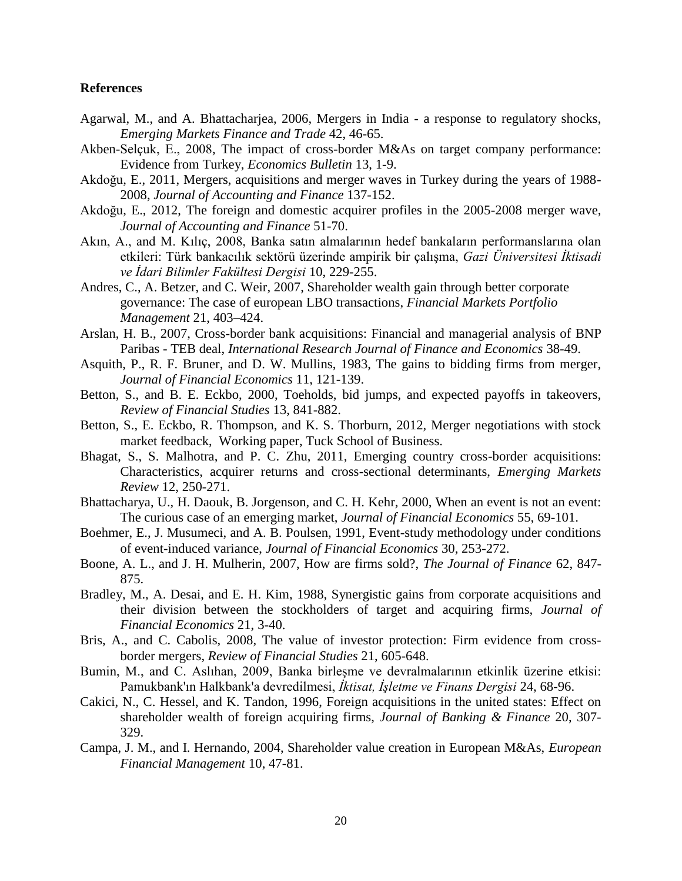#### **References**

- Agarwal, M., and A. Bhattacharjea, 2006, Mergers in India a response to regulatory shocks, *Emerging Markets Finance and Trade* 42, 46-65.
- Akben-Selçuk, E., 2008, The impact of cross-border M&As on target company performance: Evidence from Turkey, *Economics Bulletin* 13, 1-9.
- Akdoğu, E., 2011, Mergers, acquisitions and merger waves in Turkey during the years of 1988- 2008, *Journal of Accounting and Finance* 137-152.
- Akdoğu, E., 2012, The foreign and domestic acquirer profiles in the 2005-2008 merger wave, *Journal of Accounting and Finance* 51-70.
- Akın, A., and M. Kılıç, 2008, Banka satın almalarının hedef bankaların performanslarına olan etkileri: Türk bankacılık sektörü üzerinde ampirik bir çalışma, *Gazi Üniversitesi İktisadi ve İdari Bilimler Fakültesi Dergisi* 10, 229-255.
- Andres, C., A. Betzer, and C. Weir, 2007, Shareholder wealth gain through better corporate governance: The case of european LBO transactions, *Financial Markets Portfolio Management* 21, 403–424.
- Arslan, H. B., 2007, Cross-border bank acquisitions: Financial and managerial analysis of BNP Paribas - TEB deal, *International Research Journal of Finance and Economics* 38-49.
- Asquith, P., R. F. Bruner, and D. W. Mullins, 1983, The gains to bidding firms from merger, *Journal of Financial Economics* 11, 121-139.
- Betton, S., and B. E. Eckbo, 2000, Toeholds, bid jumps, and expected payoffs in takeovers, *Review of Financial Studies* 13, 841-882.
- Betton, S., E. Eckbo, R. Thompson, and K. S. Thorburn, 2012, Merger negotiations with stock market feedback, Working paper, Tuck School of Business.
- Bhagat, S., S. Malhotra, and P. C. Zhu, 2011, Emerging country cross-border acquisitions: Characteristics, acquirer returns and cross-sectional determinants, *Emerging Markets Review* 12, 250-271.
- Bhattacharya, U., H. Daouk, B. Jorgenson, and C. H. Kehr, 2000, When an event is not an event: The curious case of an emerging market, *Journal of Financial Economics* 55, 69-101.
- Boehmer, E., J. Musumeci, and A. B. Poulsen, 1991, Event-study methodology under conditions of event-induced variance, *Journal of Financial Economics* 30, 253-272.
- Boone, A. L., and J. H. Mulherin, 2007, How are firms sold?, *The Journal of Finance* 62, 847- 875.
- Bradley, M., A. Desai, and E. H. Kim, 1988, Synergistic gains from corporate acquisitions and their division between the stockholders of target and acquiring firms, *Journal of Financial Economics* 21, 3-40.
- Bris, A., and C. Cabolis, 2008, The value of investor protection: Firm evidence from crossborder mergers, *Review of Financial Studies* 21, 605-648.
- Bumin, M., and C. Aslıhan, 2009, Banka birleşme ve devralmalarının etkinlik üzerine etkisi: Pamukbank'ın Halkbank'a devredilmesi, *İktisat, İşletme ve Finans Dergisi* 24, 68-96.
- Cakici, N., C. Hessel, and K. Tandon, 1996, Foreign acquisitions in the united states: Effect on shareholder wealth of foreign acquiring firms, *Journal of Banking & Finance* 20, 307- 329.
- Campa, J. M., and I. Hernando, 2004, Shareholder value creation in European M&As, *European Financial Management* 10, 47-81.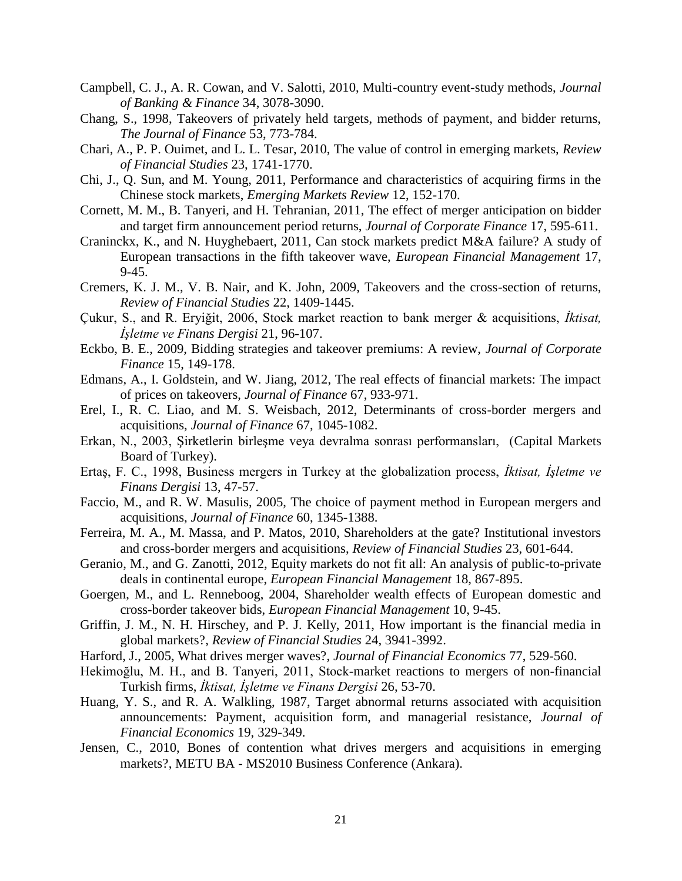- Campbell, C. J., A. R. Cowan, and V. Salotti, 2010, Multi-country event-study methods, *Journal of Banking & Finance* 34, 3078-3090.
- Chang, S., 1998, Takeovers of privately held targets, methods of payment, and bidder returns, *The Journal of Finance* 53, 773-784.
- Chari, A., P. P. Ouimet, and L. L. Tesar, 2010, The value of control in emerging markets, *Review of Financial Studies* 23, 1741-1770.
- Chi, J., Q. Sun, and M. Young, 2011, Performance and characteristics of acquiring firms in the Chinese stock markets, *Emerging Markets Review* 12, 152-170.
- Cornett, M. M., B. Tanyeri, and H. Tehranian, 2011, The effect of merger anticipation on bidder and target firm announcement period returns, *Journal of Corporate Finance* 17, 595-611.
- Craninckx, K., and N. Huyghebaert, 2011, Can stock markets predict M&A failure? A study of European transactions in the fifth takeover wave, *European Financial Management* 17,  $9-45.$
- Cremers, K. J. M., V. B. Nair, and K. John, 2009, Takeovers and the cross-section of returns, *Review of Financial Studies* 22, 1409-1445.
- Çukur, S., and R. Eryiğit, 2006, Stock market reaction to bank merger & acquisitions, *İktisat, İşletme ve Finans Dergisi* 21, 96-107.
- Eckbo, B. E., 2009, Bidding strategies and takeover premiums: A review, *Journal of Corporate Finance* 15, 149-178.
- Edmans, A., I. Goldstein, and W. Jiang, 2012, The real effects of financial markets: The impact of prices on takeovers, *Journal of Finance* 67, 933-971.
- Erel, I., R. C. Liao, and M. S. Weisbach, 2012, Determinants of cross-border mergers and acquisitions, *Journal of Finance* 67, 1045-1082.
- Erkan, N., 2003, Şirketlerin birleşme veya devralma sonrası performansları, (Capital Markets Board of Turkey).
- Ertaş, F. C., 1998, Business mergers in Turkey at the globalization process, *İktisat, İşletme ve Finans Dergisi* 13, 47-57.
- Faccio, M., and R. W. Masulis, 2005, The choice of payment method in European mergers and acquisitions, *Journal of Finance* 60, 1345-1388.
- Ferreira, M. A., M. Massa, and P. Matos, 2010, Shareholders at the gate? Institutional investors and cross-border mergers and acquisitions, *Review of Financial Studies* 23, 601-644.
- Geranio, M., and G. Zanotti, 2012, Equity markets do not fit all: An analysis of public-to-private deals in continental europe, *European Financial Management* 18, 867-895.
- Goergen, M., and L. Renneboog, 2004, Shareholder wealth effects of European domestic and cross-border takeover bids, *European Financial Management* 10, 9-45.
- Griffin, J. M., N. H. Hirschey, and P. J. Kelly, 2011, How important is the financial media in global markets?, *Review of Financial Studies* 24, 3941-3992.
- Harford, J., 2005, What drives merger waves?, *Journal of Financial Economics* 77, 529-560.
- Hekimoğlu, M. H., and B. Tanyeri, 2011, Stock-market reactions to mergers of non-financial Turkish firms, *İktisat, İşletme ve Finans Dergisi* 26, 53-70.
- Huang, Y. S., and R. A. Walkling, 1987, Target abnormal returns associated with acquisition announcements: Payment, acquisition form, and managerial resistance, *Journal of Financial Economics* 19, 329-349.
- Jensen, C., 2010, Bones of contention what drives mergers and acquisitions in emerging markets?, METU BA - MS2010 Business Conference (Ankara).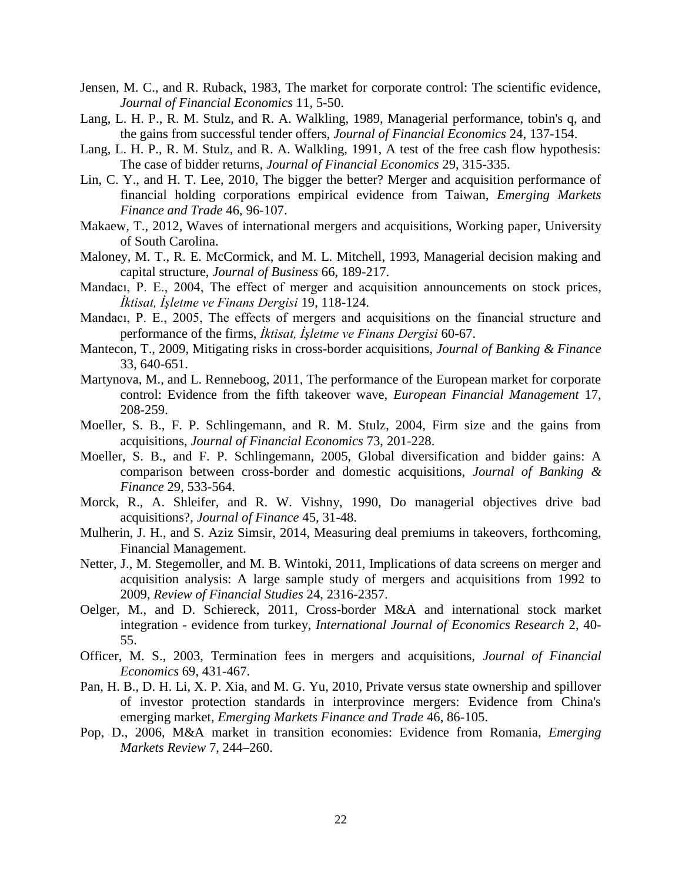- Jensen, M. C., and R. Ruback, 1983, The market for corporate control: The scientific evidence, *Journal of Financial Economics* 11, 5-50.
- Lang, L. H. P., R. M. Stulz, and R. A. Walkling, 1989, Managerial performance, tobin's q, and the gains from successful tender offers, *Journal of Financial Economics* 24, 137-154.
- Lang, L. H. P., R. M. Stulz, and R. A. Walkling, 1991, A test of the free cash flow hypothesis: The case of bidder returns, *Journal of Financial Economics* 29, 315-335.
- Lin, C. Y., and H. T. Lee, 2010, The bigger the better? Merger and acquisition performance of financial holding corporations empirical evidence from Taiwan, *Emerging Markets Finance and Trade* 46, 96-107.
- Makaew, T., 2012, Waves of international mergers and acquisitions, Working paper, University of South Carolina.
- Maloney, M. T., R. E. McCormick, and M. L. Mitchell, 1993, Managerial decision making and capital structure, *Journal of Business* 66, 189-217.
- Mandacı, P. E., 2004, The effect of merger and acquisition announcements on stock prices, *İktisat, İşletme ve Finans Dergisi* 19, 118-124.
- Mandacı, P. E., 2005, The effects of mergers and acquisitions on the financial structure and performance of the firms, *İktisat, İşletme ve Finans Dergisi* 60-67.
- Mantecon, T., 2009, Mitigating risks in cross-border acquisitions, *Journal of Banking & Finance* 33, 640-651.
- Martynova, M., and L. Renneboog, 2011, The performance of the European market for corporate control: Evidence from the fifth takeover wave, *European Financial Management* 17, 208-259.
- Moeller, S. B., F. P. Schlingemann, and R. M. Stulz, 2004, Firm size and the gains from acquisitions, *Journal of Financial Economics* 73, 201-228.
- Moeller, S. B., and F. P. Schlingemann, 2005, Global diversification and bidder gains: A comparison between cross-border and domestic acquisitions, *Journal of Banking & Finance* 29, 533-564.
- Morck, R., A. Shleifer, and R. W. Vishny, 1990, Do managerial objectives drive bad acquisitions?, *Journal of Finance* 45, 31-48.
- Mulherin, J. H., and S. Aziz Simsir, 2014, Measuring deal premiums in takeovers, forthcoming, Financial Management.
- Netter, J., M. Stegemoller, and M. B. Wintoki, 2011, Implications of data screens on merger and acquisition analysis: A large sample study of mergers and acquisitions from 1992 to 2009, *Review of Financial Studies* 24, 2316-2357.
- Oelger, M., and D. Schiereck, 2011, Cross-border M&A and international stock market integration - evidence from turkey, *International Journal of Economics Research* 2, 40- 55.
- Officer, M. S., 2003, Termination fees in mergers and acquisitions, *Journal of Financial Economics* 69, 431-467.
- Pan, H. B., D. H. Li, X. P. Xia, and M. G. Yu, 2010, Private versus state ownership and spillover of investor protection standards in interprovince mergers: Evidence from China's emerging market, *Emerging Markets Finance and Trade* 46, 86-105.
- Pop, D., 2006, M&A market in transition economies: Evidence from Romania, *Emerging Markets Review* 7, 244–260.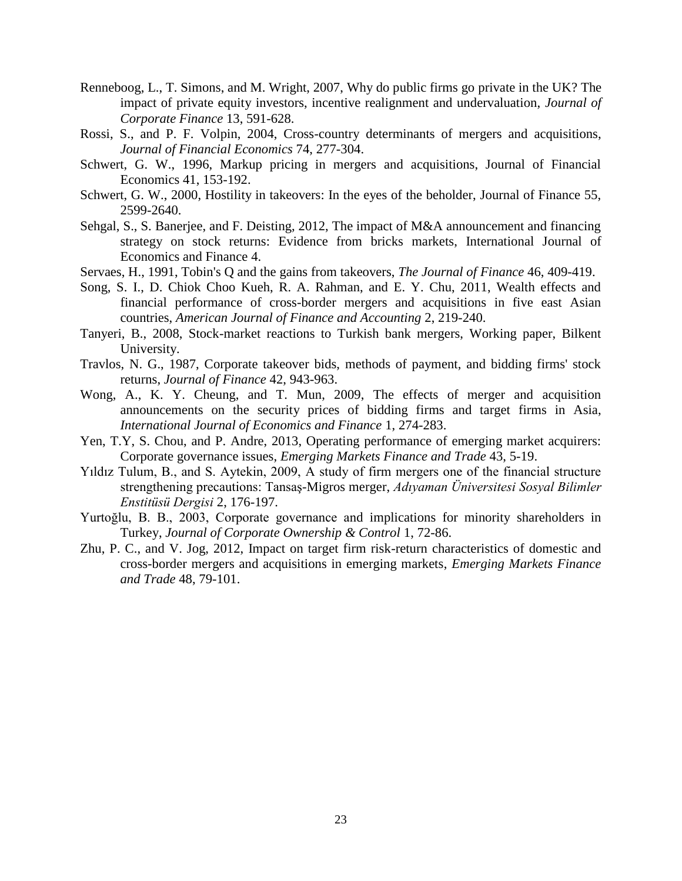- Renneboog, L., T. Simons, and M. Wright, 2007, Why do public firms go private in the UK? The impact of private equity investors, incentive realignment and undervaluation, *Journal of Corporate Finance* 13, 591-628.
- Rossi, S., and P. F. Volpin, 2004, Cross-country determinants of mergers and acquisitions, *Journal of Financial Economics* 74, 277-304.
- Schwert, G. W., 1996, Markup pricing in mergers and acquisitions, Journal of Financial Economics 41, 153-192.
- Schwert, G. W., 2000, Hostility in takeovers: In the eyes of the beholder, Journal of Finance 55, 2599-2640.
- Sehgal, S., S. Banerjee, and F. Deisting, 2012, The impact of M&A announcement and financing strategy on stock returns: Evidence from bricks markets, International Journal of Economics and Finance 4.
- Servaes, H., 1991, Tobin's Q and the gains from takeovers, *The Journal of Finance* 46, 409-419.
- Song, S. I., D. Chiok Choo Kueh, R. A. Rahman, and E. Y. Chu, 2011, Wealth effects and financial performance of cross-border mergers and acquisitions in five east Asian countries, *American Journal of Finance and Accounting* 2, 219-240.
- Tanyeri, B., 2008, Stock-market reactions to Turkish bank mergers, Working paper, Bilkent University.
- Travlos, N. G., 1987, Corporate takeover bids, methods of payment, and bidding firms' stock returns, *Journal of Finance* 42, 943-963.
- Wong, A., K. Y. Cheung, and T. Mun, 2009, The effects of merger and acquisition announcements on the security prices of bidding firms and target firms in Asia, *International Journal of Economics and Finance* 1, 274-283.
- Yen, T.Y, S. Chou, and P. Andre, 2013, Operating performance of emerging market acquirers: Corporate governance issues, *Emerging Markets Finance and Trade* 43, 5-19.
- Yıldız Tulum, B., and S. Aytekin, 2009, A study of firm mergers one of the financial structure strengthening precautions: Tansaş-Migros merger, *Adıyaman Üniversitesi Sosyal Bilimler Enstitüsü Dergisi* 2, 176-197.
- Yurtoğlu, B. B., 2003, Corporate governance and implications for minority shareholders in Turkey, *Journal of Corporate Ownership & Control* 1, 72-86.
- Zhu, P. C., and V. Jog, 2012, Impact on target firm risk-return characteristics of domestic and cross-border mergers and acquisitions in emerging markets, *Emerging Markets Finance and Trade* 48, 79-101.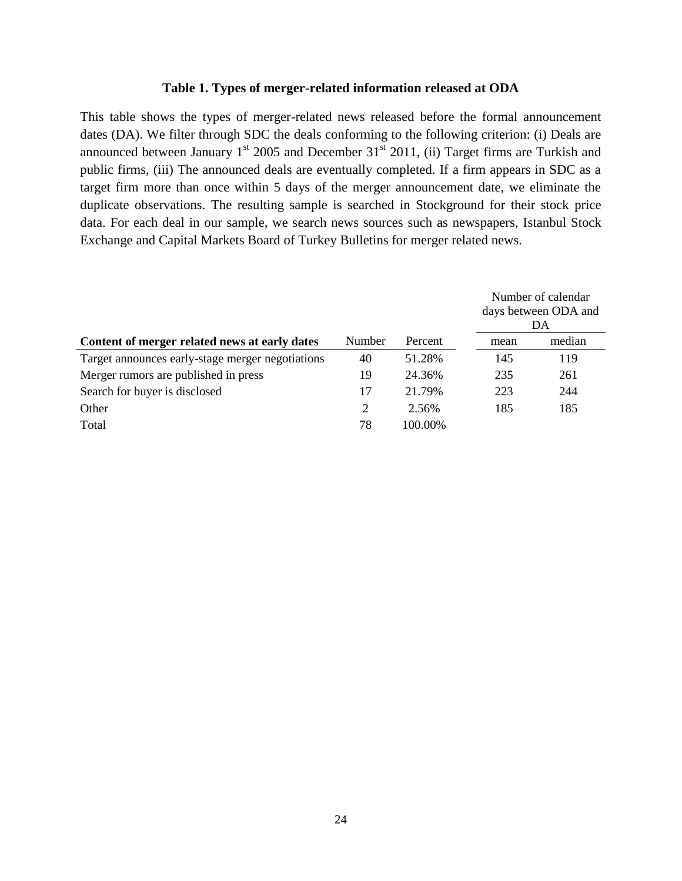### **Table 1. Types of merger-related information released at ODA**

This table shows the types of merger-related news released before the formal announcement dates (DA). We filter through SDC the deals conforming to the following criterion: (i) Deals are announced between January  $1<sup>st</sup>$  2005 and December 31 $<sup>st</sup>$  2011, (ii) Target firms are Turkish and</sup> public firms, (iii) The announced deals are eventually completed. If a firm appears in SDC as a target firm more than once within 5 days of the merger announcement date, we eliminate the duplicate observations. The resulting sample is searched in Stockground for their stock price data. For each deal in our sample, we search news sources such as newspapers, Istanbul Stock Exchange and Capital Markets Board of Turkey Bulletins for merger related news.

|                                                  |        |         | Number of calendar<br>days between ODA and<br>DA |        |
|--------------------------------------------------|--------|---------|--------------------------------------------------|--------|
| Content of merger related news at early dates    | Number | Percent | mean                                             | median |
| Target announces early-stage merger negotiations | 40     | 51.28%  | 145                                              | 119    |
| Merger rumors are published in press             | 19     | 24.36%  | 235                                              | 261    |
| Search for buyer is disclosed                    | 17     | 21.79%  | 223                                              | 244    |
| Other                                            | 2      | 2.56%   | 185                                              | 185    |
| Total                                            | 78     | 100.00% |                                                  |        |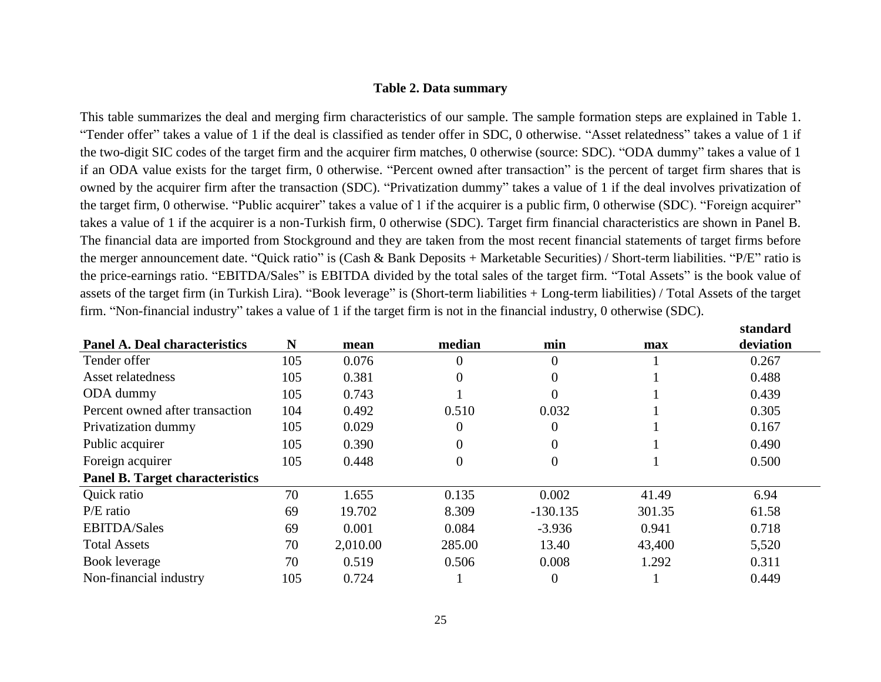#### **Table 2. Data summary**

This table summarizes the deal and merging firm characteristics of our sample. The sample formation steps are explained in Table 1. "Tender offer" takes a value of 1 if the deal is classified as tender offer in SDC, 0 otherwise. "Asset relatedness" takes a value of 1 if the two-digit SIC codes of the target firm and the acquirer firm matches, 0 otherwise (source: SDC). "ODA dummy" takes a value of 1 if an ODA value exists for the target firm, 0 otherwise. "Percent owned after transaction" is the percent of target firm shares that is owned by the acquirer firm after the transaction (SDC). "Privatization dummy" takes a value of 1 if the deal involves privatization of the target firm, 0 otherwise. "Public acquirer" takes a value of 1 if the acquirer is a public firm, 0 otherwise (SDC). "Foreign acquirer" takes a value of 1 if the acquirer is a non-Turkish firm, 0 otherwise (SDC). Target firm financial characteristics are shown in Panel B. The financial data are imported from Stockground and they are taken from the most recent financial statements of target firms before the merger announcement date. "Quick ratio" is (Cash & Bank Deposits + Marketable Securities) / Short-term liabilities. "P/E" ratio is the price-earnings ratio. "EBITDA/Sales" is EBITDA divided by the total sales of the target firm. "Total Assets" is the book value of assets of the target firm (in Turkish Lira). "Book leverage" is (Short-term liabilities + Long-term liabilities) / Total Assets of the target firm. "Non-financial industry" takes a value of 1 if the target firm is not in the financial industry, 0 otherwise (SDC).

|                                        |     |          |                |            |        | stanuaru  |
|----------------------------------------|-----|----------|----------------|------------|--------|-----------|
| <b>Panel A. Deal characteristics</b>   | N   | mean     | median         | min        | max    | deviation |
| Tender offer                           | 105 | 0.076    | $\theta$       |            |        | 0.267     |
| Asset relatedness                      | 105 | 0.381    | $\overline{0}$ | 0          |        | 0.488     |
| ODA dummy                              | 105 | 0.743    |                |            |        | 0.439     |
| Percent owned after transaction        | 104 | 0.492    | 0.510          | 0.032      |        | 0.305     |
| Privatization dummy                    | 105 | 0.029    | $\overline{0}$ | $\Omega$   |        | 0.167     |
| Public acquirer                        | 105 | 0.390    | $\overline{0}$ | 0          |        | 0.490     |
| Foreign acquirer                       | 105 | 0.448    | $\overline{0}$ | 0          |        | 0.500     |
| <b>Panel B. Target characteristics</b> |     |          |                |            |        |           |
| Quick ratio                            | 70  | 1.655    | 0.135          | 0.002      | 41.49  | 6.94      |
| $P/E$ ratio                            | 69  | 19.702   | 8.309          | $-130.135$ | 301.35 | 61.58     |
| <b>EBITDA/Sales</b>                    | 69  | 0.001    | 0.084          | $-3.936$   | 0.941  | 0.718     |
| <b>Total Assets</b>                    | 70  | 2,010.00 | 285.00         | 13.40      | 43,400 | 5,520     |
| Book leverage                          | 70  | 0.519    | 0.506          | 0.008      | 1.292  | 0.311     |
| Non-financial industry                 | 105 | 0.724    |                | $\theta$   |        | 0.449     |

**standard**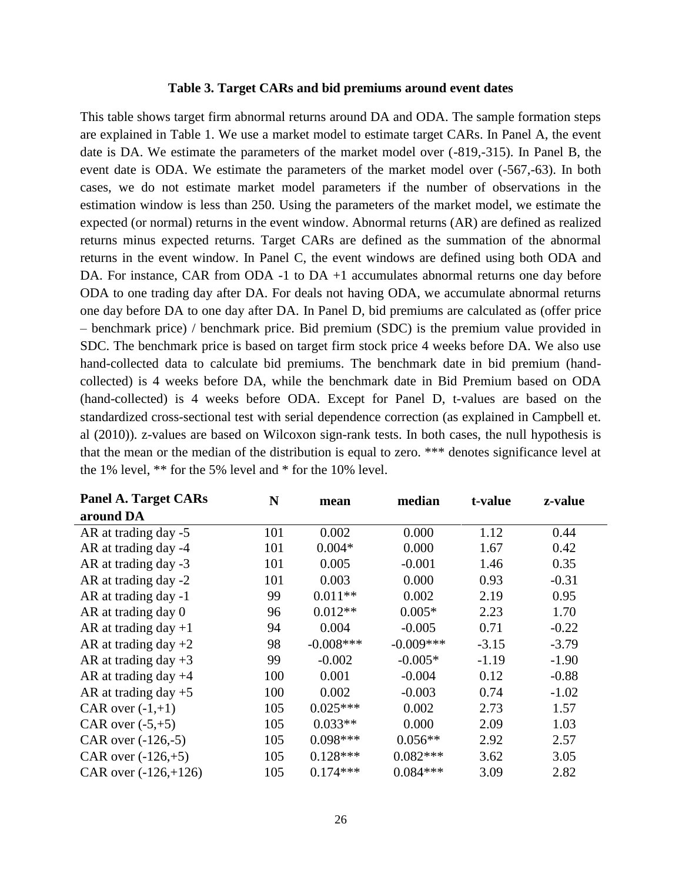#### **Table 3. Target CARs and bid premiums around event dates**

This table shows target firm abnormal returns around DA and ODA. The sample formation steps are explained in Table 1. We use a market model to estimate target CARs. In Panel A, the event date is DA. We estimate the parameters of the market model over (-819,-315). In Panel B, the event date is ODA. We estimate the parameters of the market model over (-567,-63). In both cases, we do not estimate market model parameters if the number of observations in the estimation window is less than 250. Using the parameters of the market model, we estimate the expected (or normal) returns in the event window. Abnormal returns (AR) are defined as realized returns minus expected returns. Target CARs are defined as the summation of the abnormal returns in the event window. In Panel C, the event windows are defined using both ODA and DA. For instance, CAR from ODA -1 to DA +1 accumulates abnormal returns one day before ODA to one trading day after DA. For deals not having ODA, we accumulate abnormal returns one day before DA to one day after DA. In Panel D, bid premiums are calculated as (offer price – benchmark price) / benchmark price. Bid premium (SDC) is the premium value provided in SDC. The benchmark price is based on target firm stock price 4 weeks before DA. We also use hand-collected data to calculate bid premiums. The benchmark date in bid premium (handcollected) is 4 weeks before DA, while the benchmark date in Bid Premium based on ODA (hand-collected) is 4 weeks before ODA. Except for Panel D, t-values are based on the standardized cross-sectional test with serial dependence correction (as explained in Campbell et. al (2010)). z-values are based on Wilcoxon sign-rank tests. In both cases, the null hypothesis is that the mean or the median of the distribution is equal to zero. \*\*\* denotes significance level at the 1% level, \*\* for the 5% level and \* for the 10% level.

| <b>Panel A. Target CARs</b> | N   | mean         | median      | t-value | z-value |  |
|-----------------------------|-----|--------------|-------------|---------|---------|--|
| around DA                   |     |              |             |         |         |  |
| AR at trading day -5        | 101 | 0.002        | 0.000       | 1.12    | 0.44    |  |
| AR at trading day -4        | 101 | $0.004*$     | 0.000       | 1.67    | 0.42    |  |
| AR at trading day -3        | 101 | 0.005        | $-0.001$    | 1.46    | 0.35    |  |
| AR at trading day -2        | 101 | 0.003        | 0.000       | 0.93    | $-0.31$ |  |
| AR at trading day -1        | 99  | $0.011**$    | 0.002       | 2.19    | 0.95    |  |
| AR at trading day 0         | 96  | $0.012**$    | $0.005*$    | 2.23    | 1.70    |  |
| AR at trading day $+1$      | 94  | 0.004        | $-0.005$    | 0.71    | $-0.22$ |  |
| AR at trading day $+2$      | 98  | $-0.008$ *** | $-0.009***$ | $-3.15$ | $-3.79$ |  |
| AR at trading day $+3$      | 99  | $-0.002$     | $-0.005*$   | $-1.19$ | $-1.90$ |  |
| AR at trading day $+4$      | 100 | 0.001        | $-0.004$    | 0.12    | $-0.88$ |  |
| AR at trading day $+5$      | 100 | 0.002        | $-0.003$    | 0.74    | $-1.02$ |  |
| CAR over $(-1,+1)$          | 105 | $0.025***$   | 0.002       | 2.73    | 1.57    |  |
| CAR over $(-5, +5)$         | 105 | $0.033**$    | 0.000       | 2.09    | 1.03    |  |
| CAR over $(-126,-5)$        | 105 | $0.098***$   | $0.056**$   | 2.92    | 2.57    |  |
| CAR over $(-126, +5)$       | 105 | $0.128***$   | $0.082***$  | 3.62    | 3.05    |  |
| CAR over $(-126,+126)$      | 105 | $0.174***$   | $0.084***$  | 3.09    | 2.82    |  |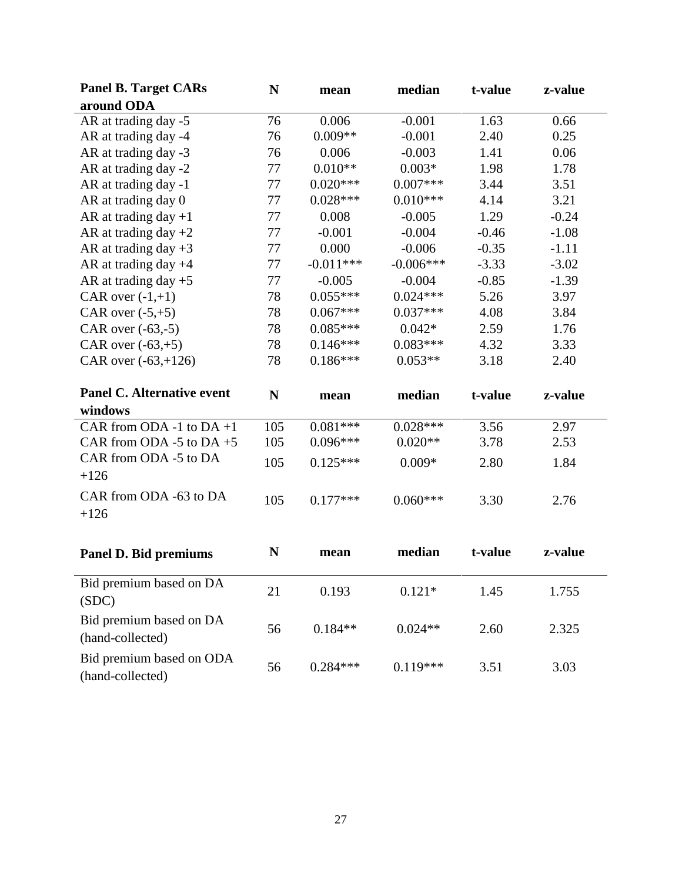| <b>Panel B. Target CARs</b>                 | N      | mean        | median      | t-value | z-value |
|---------------------------------------------|--------|-------------|-------------|---------|---------|
| around ODA                                  |        |             |             |         |         |
| AR at trading day -5                        | 76     | 0.006       | $-0.001$    | 1.63    | 0.66    |
| AR at trading day -4                        | 76     | $0.009**$   | $-0.001$    | 2.40    | 0.25    |
| AR at trading day -3                        | 76     | 0.006       | $-0.003$    | 1.41    | 0.06    |
| AR at trading day -2                        | 77     | $0.010**$   | $0.003*$    | 1.98    | 1.78    |
| AR at trading day -1                        | 77     | $0.020***$  | $0.007***$  | 3.44    | 3.51    |
| AR at trading day 0                         | $77\,$ | $0.028***$  | $0.010***$  | 4.14    | 3.21    |
| AR at trading day $+1$                      | 77     | 0.008       | $-0.005$    | 1.29    | $-0.24$ |
| AR at trading day $+2$                      | 77     | $-0.001$    | $-0.004$    | $-0.46$ | $-1.08$ |
| AR at trading day $+3$                      | 77     | 0.000       | $-0.006$    | $-0.35$ | $-1.11$ |
| AR at trading day +4                        | 77     | $-0.011***$ | $-0.006***$ | $-3.33$ | $-3.02$ |
| AR at trading day $+5$                      | $77\,$ | $-0.005$    | $-0.004$    | $-0.85$ | $-1.39$ |
| CAR over $(-1,+1)$                          | 78     | $0.055***$  | $0.024***$  | 5.26    | 3.97    |
| CAR over $(-5,+5)$                          | 78     | $0.067***$  | $0.037***$  | 4.08    | 3.84    |
| CAR over (-63,-5)                           | 78     | $0.085***$  | $0.042*$    | 2.59    | 1.76    |
| CAR over $(-63, +5)$                        | 78     | $0.146***$  | $0.083***$  | 4.32    | 3.33    |
| CAR over $(-63,+126)$                       | 78     | $0.186***$  | $0.053**$   | 3.18    | 2.40    |
| Panel C. Alternative event                  |        |             |             |         |         |
|                                             | N      | mean        | median      | t-value | z-value |
| windows                                     |        |             |             |         |         |
| CAR from ODA -1 to $DA +1$                  | 105    | $0.081***$  | $0.028***$  | 3.56    | 2.97    |
| CAR from ODA -5 to DA +5                    | 105    | $0.096***$  | $0.020**$   | 3.78    | 2.53    |
| CAR from ODA -5 to DA<br>$+126$             | 105    | $0.125***$  | $0.009*$    | 2.80    | 1.84    |
| CAR from ODA -63 to DA<br>$+126$            | 105    | $0.177***$  | $0.060***$  | 3.30    | 2.76    |
| <b>Panel D. Bid premiums</b>                | N      | mean        | median      | t-value | z-value |
| Bid premium based on DA<br>(SDC)            | 21     | 0.193       | $0.121*$    | 1.45    | 1.755   |
| Bid premium based on DA<br>(hand-collected) | 56     | $0.184**$   | $0.024**$   | 2.60    | 2.325   |